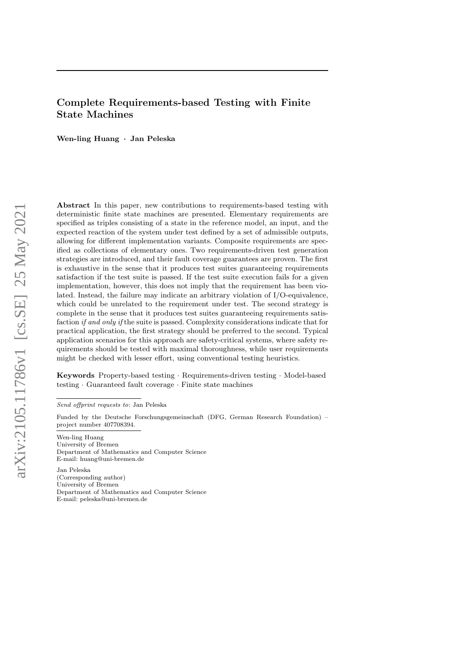# Complete Requirements-based Testing with Finite State Machines

Wen-ling Huang · Jan Peleska

Abstract In this paper, new contributions to requirements-based testing with deterministic finite state machines are presented. Elementary requirements are specified as triples consisting of a state in the reference model, an input, and the expected reaction of the system under test defined by a set of admissible outputs, allowing for different implementation variants. Composite requirements are specified as collections of elementary ones. Two requirements-driven test generation strategies are introduced, and their fault coverage guarantees are proven. The first is exhaustive in the sense that it produces test suites guaranteeing requirements satisfaction if the test suite is passed. If the test suite execution fails for a given implementation, however, this does not imply that the requirement has been violated. Instead, the failure may indicate an arbitrary violation of I/O-equivalence, which could be unrelated to the requirement under test. The second strategy is complete in the sense that it produces test suites guaranteeing requirements satisfaction if and only if the suite is passed. Complexity considerations indicate that for practical application, the first strategy should be preferred to the second. Typical application scenarios for this approach are safety-critical systems, where safety requirements should be tested with maximal thoroughness, while user requirements might be checked with lesser effort, using conventional testing heuristics.

Keywords Property-based testing · Requirements-driven testing · Model-based testing · Guaranteed fault coverage · Finite state machines

Send offprint requests to: Jan Peleska

Funded by the Deutsche Forschungsgemeinschaft (DFG, German Research Foundation) – project number 407708394.

Wen-ling Huang University of Bremen Department of Mathematics and Computer Science E-mail: huang@uni-bremen.de

Jan Peleska (Corresponding author) University of Bremen Department of Mathematics and Computer Science E-mail: peleska@uni-bremen.de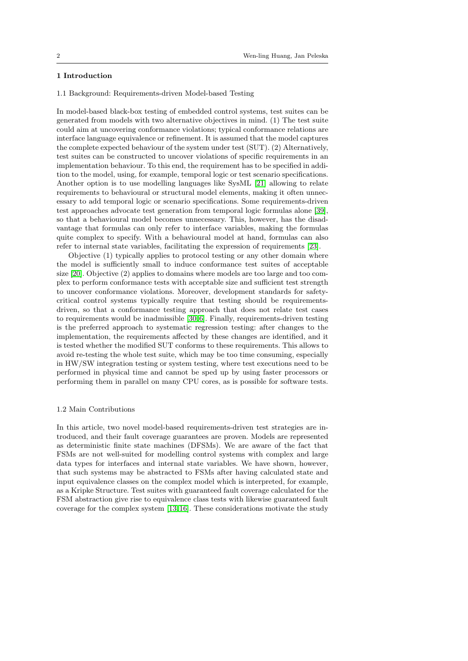# 1 Introduction

1.1 Background: Requirements-driven Model-based Testing

In model-based black-box testing of embedded control systems, test suites can be generated from models with two alternative objectives in mind. (1) The test suite could aim at uncovering conformance violations; typical conformance relations are interface language equivalence or refinement. It is assumed that the model captures the complete expected behaviour of the system under test (SUT). (2) Alternatively, test suites can be constructed to uncover violations of specific requirements in an implementation behaviour. To this end, the requirement has to be specified in addition to the model, using, for example, temporal logic or test scenario specifications. Another option is to use modelling languages like SysML [\[21\]](#page-27-0) allowing to relate requirements to behavioural or structural model elements, making it often unnecessary to add temporal logic or scenario specifications. Some requirements-driven test approaches advocate test generation from temporal logic formulas alone [\[39\]](#page-28-0), so that a behavioural model becomes unnecessary. This, however, has the disadvantage that formulas can only refer to interface variables, making the formulas quite complex to specify. With a behavioural model at hand, formulas can also refer to internal state variables, facilitating the expression of requirements [\[23\]](#page-27-1).

Objective (1) typically applies to protocol testing or any other domain where the model is sufficiently small to induce conformance test suites of acceptable size [\[20\]](#page-27-2). Objective (2) applies to domains where models are too large and too complex to perform conformance tests with acceptable size and sufficient test strength to uncover conformance violations. Moreover, development standards for safetycritical control systems typically require that testing should be requirementsdriven, so that a conformance testing approach that does not relate test cases to requirements would be inadmissible  $[30, 6]$  $[30, 6]$ . Finally, requirements-driven testing is the preferred approach to systematic regression testing: after changes to the implementation, the requirements affected by these changes are identified, and it is tested whether the modified SUT conforms to these requirements. This allows to avoid re-testing the whole test suite, which may be too time consuming, especially in HW/SW integration testing or system testing, where test executions need to be performed in physical time and cannot be sped up by using faster processors or performing them in parallel on many CPU cores, as is possible for software tests.

# <span id="page-1-0"></span>1.2 Main Contributions

In this article, two novel model-based requirements-driven test strategies are introduced, and their fault coverage guarantees are proven. Models are represented as deterministic finite state machines (DFSMs). We are aware of the fact that FSMs are not well-suited for modelling control systems with complex and large data types for interfaces and internal state variables. We have shown, however, that such systems may be abstracted to FSMs after having calculated state and input equivalence classes on the complex model which is interpreted, for example, as a Kripke Structure. Test suites with guaranteed fault coverage calculated for the FSM abstraction give rise to equivalence class tests with likewise guaranteed fault coverage for the complex system [\[13,](#page-26-1) [16\]](#page-26-2). These considerations motivate the study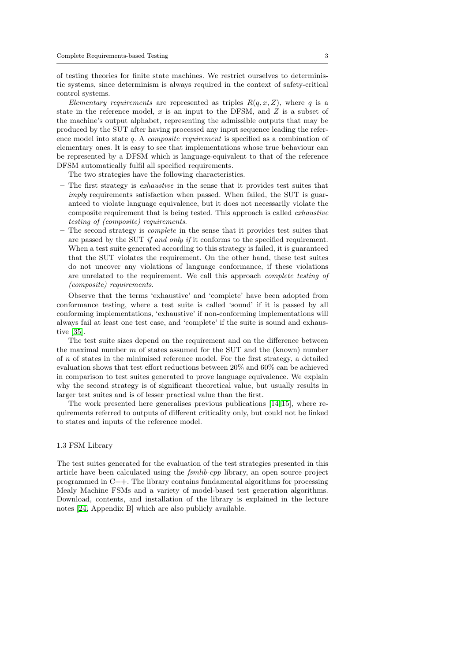of testing theories for finite state machines. We restrict ourselves to deterministic systems, since determinism is always required in the context of safety-critical control systems.

Elementary requirements are represented as triples  $R(q, x, Z)$ , where q is a state in the reference model,  $x$  is an input to the DFSM, and  $Z$  is a subset of the machine's output alphabet, representing the admissible outputs that may be produced by the SUT after having processed any input sequence leading the reference model into state q. A composite requirement is specified as a combination of elementary ones. It is easy to see that implementations whose true behaviour can be represented by a DFSM which is language-equivalent to that of the reference DFSM automatically fulfil all specified requirements.

The two strategies have the following characteristics.

- The first strategy is exhaustive in the sense that it provides test suites that imply requirements satisfaction when passed. When failed, the SUT is guaranteed to violate language equivalence, but it does not necessarily violate the composite requirement that is being tested. This approach is called exhaustive testing of (composite) requirements.
- The second strategy is complete in the sense that it provides test suites that are passed by the SUT if and only if it conforms to the specified requirement. When a test suite generated according to this strategy is failed, it is guaranteed that the SUT violates the requirement. On the other hand, these test suites do not uncover any violations of language conformance, if these violations are unrelated to the requirement. We call this approach complete testing of (composite) requirements.

Observe that the terms 'exhaustive' and 'complete' have been adopted from conformance testing, where a test suite is called 'sound' if it is passed by all conforming implementations, 'exhaustive' if non-conforming implementations will always fail at least one test case, and 'complete' if the suite is sound and exhaustive [\[35\]](#page-27-4).

The test suite sizes depend on the requirement and on the difference between the maximal number  $m$  of states assumed for the SUT and the (known) number of  $n$  of states in the minimised reference model. For the first strategy, a detailed evaluation shows that test effort reductions between 20% and 60% can be achieved in comparison to test suites generated to prove language equivalence. We explain why the second strategy is of significant theoretical value, but usually results in larger test suites and is of lesser practical value than the first.

The work presented here generalises previous publications [\[14,](#page-26-3) [15\]](#page-26-4), where requirements referred to outputs of different criticality only, but could not be linked to states and inputs of the reference model.

# 1.3 FSM Library

The test suites generated for the evaluation of the test strategies presented in this article have been calculated using the fsmlib-cpp library, an open source project programmed in C++. The library contains fundamental algorithms for processing Mealy Machine FSMs and a variety of model-based test generation algorithms. Download, contents, and installation of the library is explained in the lecture notes [\[24,](#page-27-5) Appendix B] which are also publicly available.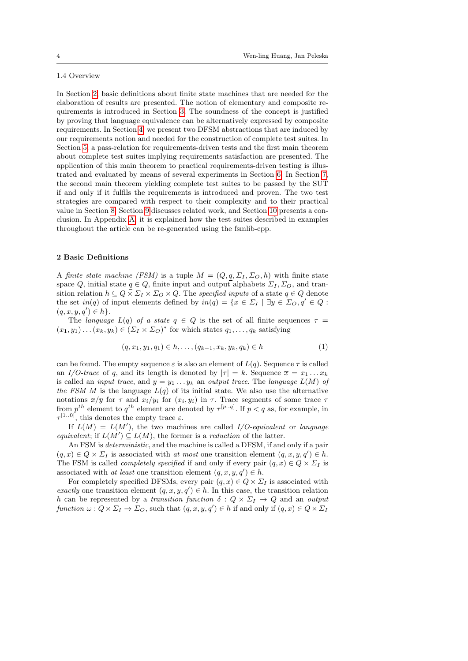# 1.4 Overview

In Section [2,](#page-3-0) basic definitions about finite state machines that are needed for the elaboration of results are presented. The notion of elementary and composite requirements is introduced in Section [3.](#page-4-0) The soundness of the concept is justified by proving that language equivalence can be alternatively expressed by composite requirements. In Section [4,](#page-7-0) we present two DFSM abstractions that are induced by our requirements notion and needed for the construction of complete test suites. In Section [5,](#page-9-0) a pass-relation for requirements-driven tests and the first main theorem about complete test suites implying requirements satisfaction are presented. The application of this main theorem to practical requirements-driven testing is illustrated and evaluated by means of several experiments in Section [6.](#page-12-0) In Section [7,](#page-17-0) the second main theorem yielding complete test suites to be passed by the SUT if and only if it fulfils the requirements is introduced and proven. The two test strategies are compared with respect to their complexity and to their practical value in Section [8.](#page-22-0) Section [9](#page-24-0) discusses related work, and Section [10](#page-25-0) presents a conclusion. In Appendix [A,](#page-28-1) it is explained how the test suites described in examples throughout the article can be re-generated using the fsmlib-cpp.

### <span id="page-3-0"></span>2 Basic Definitions

A finite state machine (FSM) is a tuple  $M = (Q, q, \Sigma_I, \Sigma_O, h)$  with finite state space Q, initial state  $q \in Q$ , finite input and output alphabets  $\Sigma_I, \Sigma_O$ , and transition relation  $h \subseteq Q \times \Sigma_I \times \Sigma_O \times Q$ . The specified inputs of a state  $q \in Q$  denote the set  $in(q)$  of input elements defined by  $in(q) = \{x \in \Sigma_I \mid \exists y \in \Sigma_O, q' \in Q :$  $(q, x, y, q') \in h$ .

The language  $L(q)$  of a state  $q \in Q$  is the set of all finite sequences  $\tau =$  $(x_1, y_1) \dots (x_k, y_k) \in (\Sigma_I \times \Sigma_O)^*$  for which states  $q_1, \dots, q_k$  satisfying

<span id="page-3-1"></span>
$$
(q, x_1, y_1, q_1) \in h, \dots, (q_{k-1}, x_k, y_k, q_k) \in h \tag{1}
$$

can be found. The empty sequence  $\varepsilon$  is also an element of  $L(q)$ . Sequence  $\tau$  is called an I/O-trace of q, and its length is denoted by  $|\tau| = k$ . Sequence  $\bar{x} = x_1 \dots x_k$ is called an *input trace*, and  $\overline{y} = y_1 \ldots y_k$  an *output trace*. The *language*  $L(M)$  of the FSM M is the language  $L(q)$  of its initial state. We also use the alternative notations  $\overline{x}/\overline{y}$  for  $\tau$  and  $x_i/y_i$  for  $(x_i, y_i)$  in  $\tau$ . Trace segments of some trace  $\tau$ from  $p^{th}$  element to  $q^{th}$  element are denoted by  $\tau^{[p\ldots q]}$ . If  $p < q$  as, for example, in  $\tau^{[1..0]}$ , this denotes the empty trace  $\varepsilon$ .

If  $L(M) = L(M')$ , the two machines are called  $I/O$ -equivalent or language equivalent; if  $L(M') \subseteq L(M)$ , the former is a reduction of the latter.

An FSM is deterministic, and the machine is called a DFSM, if and only if a pair  $(q, x) \in Q \times \Sigma_I$  is associated with at most one transition element  $(q, x, y, q') \in h$ . The FSM is called *completely specified* if and only if every pair  $(q, x) \in Q \times \Sigma_I$  is associated with at least one transition element  $(q, x, y, q') \in h$ .

For completely specified DFSMs, every pair  $(q, x) \in Q \times \Sigma_I$  is associated with exactly one transition element  $(q, x, y, q') \in h$ . In this case, the transition relation h can be represented by a transition function  $\delta: Q \times \Sigma_I \to Q$  and an output function  $\omega: Q \times \Sigma_I \to \Sigma_O$ , such that  $(q, x, y, q') \in h$  if and only if  $(q, x) \in Q \times \Sigma_I$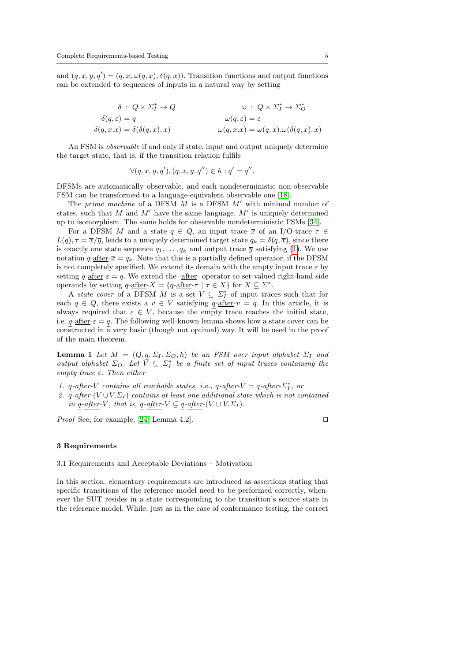and  $(q, x, y, q') = (q, x, \omega(q, x), \delta(q, x))$ . Transition functions and output functions can be extended to sequences of inputs in a natural way by setting

$$
\delta : Q \times \Sigma_I^* \to Q \qquad \qquad \omega : Q \times \Sigma_I^* \to \Sigma_O^*
$$
  

$$
\delta(q, \varepsilon) = q \qquad \qquad \omega(q, \varepsilon) = \varepsilon
$$
  

$$
\delta(q, x.\overline{x}) = \delta(\delta(q, x), \overline{x}) \qquad \qquad \omega(q, x.\overline{x}) = \omega(q, x) . \omega(\delta(q, x), \overline{x})
$$

An FSM is observable if and only if state, input and output uniquely determine the target state, that is, if the transition relation fulfils

$$
\forall (q, x, y, q'), (q, x, y, q'') \in h : q' = q''.
$$

DFSMs are automatically observable, and each nondeterministic non-observable FSM can be transformed to a language-equivalent observable one [\[18\]](#page-26-5).

The prime machine of a DFSM  $M$  is a DFSM  $M'$  with minimal number of states, such that M and M' have the same language.  $M'$  is uniquely determined up to isomorphism. The same holds for observable nondeterministic FSMs [\[34\]](#page-27-6).

For a DFSM M and a state  $q \in Q$ , an input trace  $\bar{x}$  of an I/O-trace  $\tau \in$  $L(q)$ ,  $\tau = \overline{x}/\overline{y}$ , leads to a uniquely determined target state  $q_k = \delta(q, \overline{x})$ , since there is exactly one state sequence  $q_1, \ldots, q_k$  and output trace  $\overline{y}$  satisfying [\(1\)](#page-3-1). We use notation  $q$ -after- $\bar{x} = q_k$ . Note that this is a partially defined operator, if the DFSM is not completely specified. We extend its domain with the empty input trace  $\varepsilon$  by setting  $q$ -after- $\varepsilon = q$ . We extend the -after- operator to set-valued right-hand side operands by setting  $q$ -after- $X = \{q$ -after- $\tau \mid \tau \in X\}$  for  $X \subseteq \Sigma^*$ .

A state cover of a DFSM M is a set  $V \subseteq \Sigma_I^*$  of input traces such that for each  $q \in Q$ , there exists a  $v \in V$  satisfying  $q$ -after- $v = q$ . In this article, it is always required that  $\varepsilon \in V$ , because the empty trace reaches the initial state, i.e.  $q$ -<u>after</u>- $\varepsilon = q$ . The following well-known lemma shows how a state cover can be constructed in  $\overline{a}$  very basic (though not optimal) way. It will be used in the proof of the main theorem.

<span id="page-4-1"></span>**Lemma 1** Let  $M = (Q, q, \Sigma_I, \Sigma_O, h)$  be an FSM over input alphabet  $\Sigma_I$  and output alphabet  $\Sigma_O$ . Let  $\overline{V} \subseteq \Sigma_I^*$  be a finite set of input traces containing the empty trace  $\varepsilon$ . Then either

- 1.  $q$ -after-V contains all reachable states, i.e.,  $q$ -after-V =  $q$ -after- $\Sigma_I^*$ , or
- 2.  $\overline{q}$ -after-(V ∪V. $\Sigma_I$ ) contains at least one additional state which is not contained in q-after-V, that is, q-after- $V \subsetneq q$ -after- $(V \cup V.\Sigma_I)$ .

*Proof* See, for example, [\[24,](#page-27-5) Lemma 4.2].

#### <span id="page-4-0"></span>3 Requirements

3.1 Requirements and Acceptable Deviations – Motivation

In this section, elementary requirements are introduced as assertions stating that specific transitions of the reference model need to be performed correctly, whenever the SUT resides in a state corresponding to the transition's source state in the reference model. While, just as in the case of conformance testing, the correct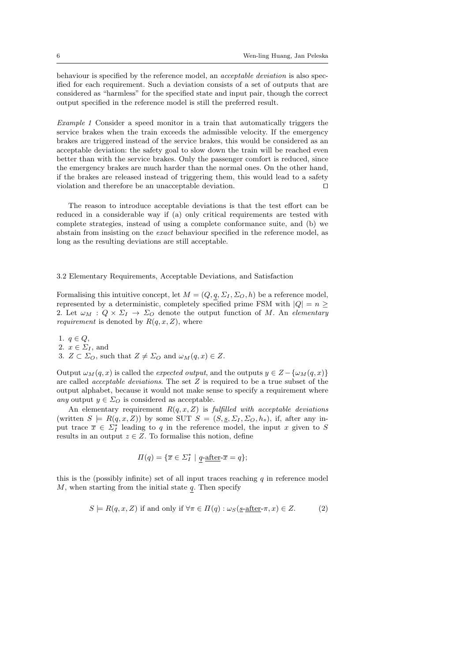behaviour is specified by the reference model, an acceptable deviation is also specified for each requirement. Such a deviation consists of a set of outputs that are considered as "harmless" for the specified state and input pair, though the correct output specified in the reference model is still the preferred result.

Example 1 Consider a speed monitor in a train that automatically triggers the service brakes when the train exceeds the admissible velocity. If the emergency brakes are triggered instead of the service brakes, this would be considered as an acceptable deviation: the safety goal to slow down the train will be reached even better than with the service brakes. Only the passenger comfort is reduced, since the emergency brakes are much harder than the normal ones. On the other hand, if the brakes are released instead of triggering them, this would lead to a safety violation and therefore be an unacceptable deviation.  $\Box$ 

The reason to introduce acceptable deviations is that the test effort can be reduced in a considerable way if (a) only critical requirements are tested with complete strategies, instead of using a complete conformance suite, and (b) we abstain from insisting on the exact behaviour specified in the reference model, as long as the resulting deviations are still acceptable.

3.2 Elementary Requirements, Acceptable Deviations, and Satisfaction

Formalising this intuitive concept, let  $M = (Q, q, \Sigma_I, \Sigma_O, h)$  be a reference model, represented by a deterministic, completely specified prime FSM with  $|Q| = n \geq$ 2. Let  $\omega_M$  :  $Q \times \Sigma_I \rightarrow \Sigma_O$  denote the output function of M. An elementary *requirement* is denoted by  $R(q, x, Z)$ , where

1.  $q \in Q$ , 2.  $x \in \Sigma_I$ , and 3.  $Z \subset \Sigma_O$ , such that  $Z \neq \Sigma_O$  and  $\omega_M(q, x) \in Z$ .

Output  $\omega_M(q, x)$  is called the *expected output*, and the outputs  $y \in Z - \{\omega_M(q, x)\}\$ are called acceptable deviations. The set Z is required to be a true subset of the output alphabet, because it would not make sense to specify a requirement where any output  $y \in \Sigma_O$  is considered as acceptable.

An elementary requirement  $R(q, x, Z)$  is fulfilled with acceptable deviations (written  $S \models R(q, x, Z)$ ) by some SUT  $S = (S, \underline{s}, \Sigma_I, \Sigma_O, h_s)$ , if, after any input trace  $\overline{x} \in \Sigma_I^*$  leading to q in the reference model, the input x given to S results in an output  $z \in Z$ . To formalise this notion, define

$$
\Pi(q) = \{ \overline{x} \in \Sigma_I^* \mid q\text{-after-}\overline{x} = q \};
$$

this is the (possibly infinite) set of all input traces reaching  $q$  in reference model  $M$ , when starting from the initial state  $q$ . Then specify

$$
S \models R(q, x, Z) \text{ if and only if } \forall \pi \in \Pi(q) : \omega_S(\underline{s}\text{-after}\text{-}\pi, x) \in Z. \tag{2}
$$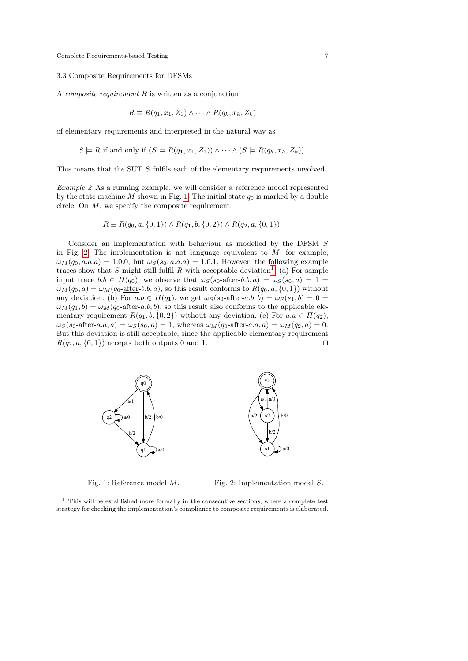# 3.3 Composite Requirements for DFSMs

A composite requirement R is written as a conjunction

$$
R \equiv R(q_1, x_1, Z_1) \wedge \cdots \wedge R(q_k, x_k, Z_k)
$$

of elementary requirements and interpreted in the natural way as

$$
S \models R \text{ if and only if } (S \models R(q_1, x_1, Z_1)) \land \cdots \land (S \models R(q_k, x_k, Z_k)).
$$

<span id="page-6-3"></span>This means that the SUT S fulfils each of the elementary requirements involved.

Example 2 As a running example, we will consider a reference model represented by the state machine M shown in Fig. [1.](#page-6-0) The initial state  $q_0$  is marked by a double circle. On  $M$ , we specify the composite requirement

$$
R \equiv R(q_0, a, \{0, 1\}) \wedge R(q_1, b, \{0, 2\}) \wedge R(q_2, a, \{0, 1\}).
$$

Consider an implementation with behaviour as modelled by the DFSM S in Fig. [2.](#page-6-1) The implementation is not language equivalent to  $M$ : for example,  $\omega_M(q_0, a.a. a) = 1.0.0$ , but  $\omega_S(s_0, a.a. a) = 1.0.1$ . However, the following example traces show that S might still fulfil R with acceptable deviation<sup>[1](#page-6-2)</sup>: (a) For sample input trace  $b.b \in \Pi(q_0)$ , we observe that  $\omega_S(s_0$ -after-b.b,  $a) = \omega_S(s_0, a) = 1$  $\omega_M(q_0, a) = \omega_M(q_0$ -after-b.b, a), so this result conforms to  $R(q_0, a, \{0, 1\})$  without any deviation. (b) For  $a.b \in \Pi(q_1)$ , we get  $\omega_S(s_0$ -after- $a.b, b) = \omega_S(s_1, b) = 0$  $\omega_M(q_1, b) = \omega_M(q_0 \text{-after-} a.b, b)$ , so this result also conforms to the applicable elementary requirement  $R(q_1, b, \{0, 2\})$  without any deviation. (c) For  $a.a \in \Pi(q_2)$ ,  $\omega_S(s_0$ -after-a.a, a) =  $\omega_S(s_0, a) = 1$ , whereas  $\omega_M(q_0$ -after-a.a, a) =  $\omega_M(q_2, a) = 0$ . But this deviation is still acceptable, since the applicable elementary requirement  $R(q_2, a, \{0, 1\})$  accepts both outputs 0 and 1.



<span id="page-6-0"></span>Fig. 1: Reference model M.

<span id="page-6-1"></span>Fig. 2: Implementation model S.

<span id="page-6-2"></span> $^{\rm 1}$  This will be established more formally in the consecutive sections, where a complete test strategy for checking the implementation's compliance to composite requirements is elaborated.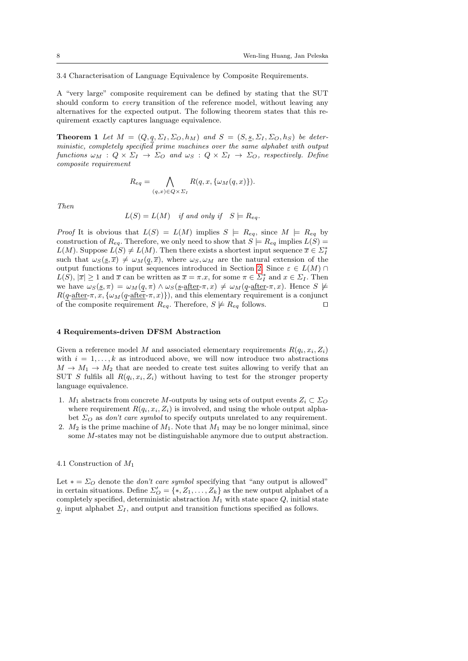3.4 Characterisation of Language Equivalence by Composite Requirements.

A "very large" composite requirement can be defined by stating that the SUT should conform to *every* transition of the reference model, without leaving any alternatives for the expected output. The following theorem states that this requirement exactly captures language equivalence.

<span id="page-7-1"></span>**Theorem 1** Let  $M = (Q, q, \Sigma_I, \Sigma_O, h_M)$  and  $S = (S, \underline{s}, \Sigma_I, \Sigma_O, h_S)$  be deterministic, completely specified prime machines over the same alphabet with output functions  $\omega_M$  :  $Q \times \Sigma_I \rightarrow \Sigma_O$  and  $\omega_S$  :  $Q \times \Sigma_I \rightarrow \Sigma_O$ , respectively. Define composite requirement

$$
R_{eq} = \bigwedge_{(q,x)\in Q \times \Sigma_I} R(q,x,\{\omega_M(q,x)\}).
$$

Then

$$
L(S) = L(M)
$$
 if and only if  $S \models R_{eq}$ .

*Proof* It is obvious that  $L(S) = L(M)$  implies  $S \models R_{eq}$ , since  $M \models R_{eq}$  by construction of  $R_{eq}$ . Therefore, we only need to show that  $S \models R_{eq}$  implies  $L(S) =$  $L(M)$ . Suppose  $L(S) \neq L(M)$ . Then there exists a shortest input sequence  $\overline{x} \in \Sigma_I^*$ such that  $\omega_S(s,\overline{x}) \neq \omega_M(q,\overline{x})$ , where  $\omega_S, \omega_M$  are the natural extension of the output functions to input sequences introduced in Section [2.](#page-3-0) Since  $\varepsilon \in L(M) \cap$  $L(S), |\overline{x}| \ge 1$  and  $\overline{x}$  can be written as  $\overline{x} = \pi.x$ , for some  $\pi \in \Sigma_I^*$  and  $x \in \Sigma_I$ . Then we have  $\omega_S(\underline{s}, \pi) = \omega_M(q, \pi) \wedge \omega_S(\underline{s}\text{-after-}\pi, x) \neq \omega_M(q\text{-after-}\pi, x)$ . Hence  $S \not\models$  $R(q\text{-after-}\pi, x, {\omega_M(q\text{-after-}\pi, x)}),$  and this elementary requirement is a conjunct of the composite requirement  $R_{eq}$ . Therefore,  $S \not\models R_{eq}$  follows.

#### <span id="page-7-0"></span>4 Requirements-driven DFSM Abstraction

Given a reference model M and associated elementary requirements  $R(q_i, x_i, Z_i)$ with  $i = 1, \ldots, k$  as introduced above, we will now introduce two abstractions  $M \to M_1 \to M_2$  that are needed to create test suites allowing to verify that an SUT S fulfils all  $R(q_i, x_i, Z_i)$  without having to test for the stronger property language equivalence.

- 1.  $M_1$  abstracts from concrete M-outputs by using sets of output events  $Z_i \subset \Sigma_O$ where requirement  $R(q_i, x_i, Z_i)$  is involved, and using the whole output alphabet  $\Sigma_O$  as *don't care symbol* to specify outputs unrelated to any requirement.
- 2.  $M_2$  is the prime machine of  $M_1$ . Note that  $M_1$  may be no longer minimal, since some M-states may not be distinguishable anymore due to output abstraction.

#### 4.1 Construction of M<sup>1</sup>

Let  $* = \Sigma_O$  denote the *don't care symbol* specifying that "any output is allowed" in certain situations. Define  $\Sigma'_{\mathcal{O}} = \{*, Z_1, \ldots, Z_k\}$  as the new output alphabet of a completely specified, deterministic abstraction  $M_1$  with state space  $Q$ , initial state q, input alphabet  $\Sigma_I$ , and output and transition functions specified as follows.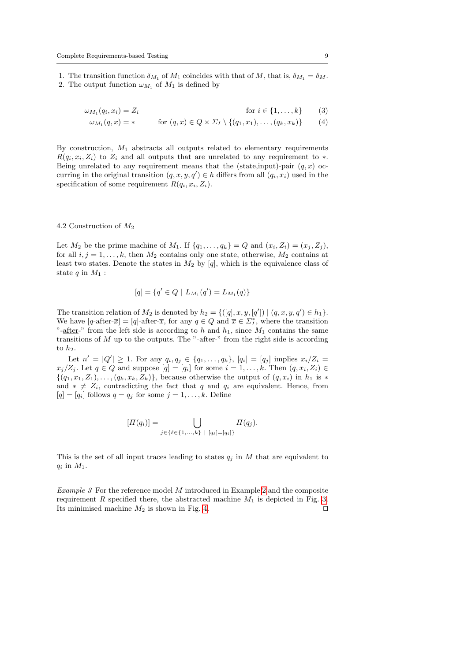1. The transition function  $\delta_{M_1}$  of  $M_1$  coincides with that of M, that is,  $\delta_{M_1} = \delta_M$ .

2. The output function  $\omega_{M_1}$  of  $M_1$  is defined by

$$
\omega_{M_1}(q_i, x_i) = Z_i \qquad \text{for } i \in \{1, \dots, k\} \qquad (3)
$$

$$
\omega_{M_1}(q, x) = * \qquad \text{for } (q, x) \in Q \times \Sigma_I \setminus \{(q_1, x_1), \ldots, (q_k, x_k)\} \qquad (4)
$$

By construction,  $M_1$  abstracts all outputs related to elementary requirements  $R(q_i, x_i, Z_i)$  to  $Z_i$  and all outputs that are unrelated to any requirement to  $*$ . Being unrelated to any requirement means that the (state,input)-pair  $(q, x)$  occurring in the original transition  $(q, x, y, q') \in h$  differs from all  $(q_i, x_i)$  used in the specification of some requirement  $R(q_i, x_i, Z_i)$ .

#### <span id="page-8-0"></span>4.2 Construction of M<sup>2</sup>

Let  $M_2$  be the prime machine of  $M_1$ . If  $\{q_1, \ldots, q_k\} = Q$  and  $(x_i, Z_i) = (x_i, Z_i)$ , for all  $i, j = 1, \ldots, k$ , then  $M_2$  contains only one state, otherwise,  $M_2$  contains at least two states. Denote the states in  $M_2$  by [q], which is the equivalence class of state  $q$  in  $M_1$  :

$$
[q] = \{q' \in Q \mid L_{M_1}(q') = L_{M_1}(q)\}\
$$

The transition relation of  $M_2$  is denoted by  $h_2 = \{([q], x, y, [q']) | (q, x, y, q') \in h_1\}.$ We have  $[q\text{-after-}\bar{x}] = [q]\text{-after-}\bar{x}$ , for any  $q \in Q$  and  $\bar{x} \in \Sigma_I^*$ , where the transition "-after-" from the left side is according to h and  $h_1$ , since  $M_1$  contains the same transitions of  $M$  up to the outputs. The "-after-" from the right side is according to  $h_2$ .

Let  $n' = |Q'| \ge 1$ . For any  $q_i, q_j \in \{q_1, ..., q_k\}$ ,  $[q_i] = [q_j]$  implies  $x_i/Z_i =$  $x_j/Z_j$ . Let  $q \in Q$  and suppose  $[q] = [q_i]$  for some  $i = 1, \ldots, k$ . Then  $(q, x_i, Z_i) \in$  $\{(q_1, x_1, Z_1), \ldots, (q_k, x_k, Z_k)\}\$ , because otherwise the output of  $(q, x_i)$  in  $h_1$  is  $*$ and  $* \neq Z_i$ , contradicting the fact that q and  $q_i$  are equivalent. Hence, from  $[q] = [q_i]$  follows  $q = q_j$  for some  $j = 1, \ldots, k$ . Define

$$
[\Pi(q_i)] = \bigcup_{j \in \{\ell \in \{1, ..., k\} \; | \; [q_\ell] = [q_i]\}} \Pi(q_j).
$$

This is the set of all input traces leading to states  $q_j$  in  $M$  that are equivalent to  $q_i$  in  $M_1$ .

Example 3 For the reference model M introduced in Example [2](#page-6-3) and the composite requirement R specified there, the abstracted machine  $M_1$  is depicted in Fig. [3.](#page-9-1) Its minimised machine  $M_2$  is shown in Fig. [4.](#page-9-2)  $\square$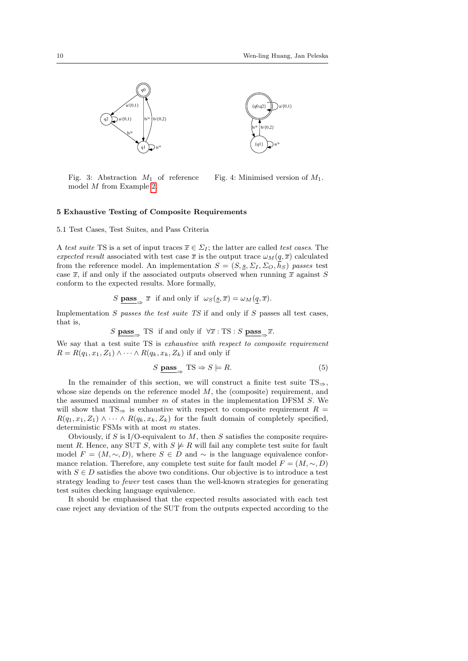

<span id="page-9-2"></span><span id="page-9-1"></span>Fig. 3: Abstraction  $M_1$  of reference model M from Example [2.](#page-6-3) Fig. 4: Minimised version of  $M_1$ .

## <span id="page-9-0"></span>5 Exhaustive Testing of Composite Requirements

5.1 Test Cases, Test Suites, and Pass Criteria

A test suite TS is a set of input traces  $\overline{x} \in \Sigma_I$ ; the latter are called test cases. The expected result associated with test case  $\bar{x}$  is the output trace  $\omega_M(q, \bar{x})$  calculated from the reference model. An implementation  $S = (S, \underline{s}, \Sigma_I, \Sigma_O, \overline{h}_S)$  passes test case  $\bar{x}$ , if and only if the associated outputs observed when running  $\bar{x}$  against S conform to the expected results. More formally,

$$
S \underline{\textbf{pass}} \underset{\to}{\longrightarrow} \overline{x} \text{ if and only if } \omega_S(\underline{s}, \overline{x}) = \omega_M(\underline{q}, \overline{x}).
$$

Implementation  $S$  passes the test suite  $TS$  if and only if  $S$  passes all test cases, that is,

$$
S \underset{\longrightarrow}{\text{pass}} \xrightarrow{\text{TS}} \text{ if and only if } \forall \overline{x} : \text{TS} : S \underset{\longrightarrow}{\text{pass}} \xrightarrow{\overline{x}}.
$$

We say that a test suite TS is exhaustive with respect to composite requirement  $R = R(q_1, x_1, Z_1) \wedge \cdots \wedge R(q_k, x_k, Z_k)$  if and only if

<span id="page-9-3"></span>
$$
S \nightharpoonup \text{pass}_{\Rightarrow} \text{TS} \Rightarrow S \models R. \tag{5}
$$

In the remainder of this section, we will construct a finite test suite  $TS$ ⇒. whose size depends on the reference model  $M$ , the (composite) requirement, and the assumed maximal number  $m$  of states in the implementation DFSM  $S$ . We will show that TS⇒ is exhaustive with respect to composite requirement  $R =$  $R(q_1, x_1, Z_1) \wedge \cdots \wedge R(q_k, x_k, Z_k)$  for the fault domain of completely specified, deterministic FSMs with at most m states.

Obviously, if S is I/O-equivalent to  $M$ , then S satisfies the composite requirement R. Hence, any SUT S, with  $S \not\models R$  will fail any complete test suite for fault model  $F = (M, \sim, D)$ , where  $S \in D$  and  $\sim$  is the language equivalence conformance relation. Therefore, any complete test suite for fault model  $F = (M, \sim, D)$ with  $S \in D$  satisfies the above two conditions. Our objective is to introduce a test strategy leading to fewer test cases than the well-known strategies for generating test suites checking language equivalence.

It should be emphasised that the expected results associated with each test case reject any deviation of the SUT from the outputs expected according to the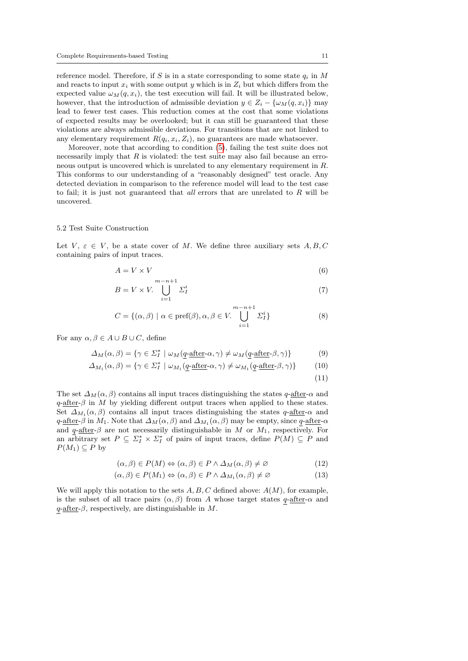reference model. Therefore, if S is in a state corresponding to some state  $q_i$  in M and reacts to input  $x_i$  with some output y which is in  $Z_i$  but which differs from the expected value  $\omega_M(q, x_i)$ , the test execution will fail. It will be illustrated below, however, that the introduction of admissible deviation  $y \in Z_i - \{\omega_M(q, x_i)\}\$  may lead to fewer test cases. This reduction comes at the cost that some violations of expected results may be overlooked; but it can still be guaranteed that these violations are always admissible deviations. For transitions that are not linked to any elementary requirement  $R(q_i, x_i, Z_i)$ , no guarantees are made whatsoever.

Moreover, note that according to condition [\(5\)](#page-9-3), failing the test suite does not necessarily imply that  $R$  is violated: the test suite may also fail because an erroneous output is uncovered which is unrelated to any elementary requirement in R. This conforms to our understanding of a "reasonably designed" test oracle. Any detected deviation in comparison to the reference model will lead to the test case to fail; it is just not guaranteed that  $all$  errors that are unrelated to  $R$  will be uncovered.

#### 5.2 Test Suite Construction

Let V,  $\varepsilon \in V$ , be a state cover of M. We define three auxiliary sets  $A, B, C$ containing pairs of input traces.

$$
A = V \times V \tag{6}
$$

$$
B = V \times V. \bigcup_{i=1}^{m-n+1} \Sigma_I^i \tag{7}
$$

$$
C = \{(\alpha, \beta) \mid \alpha \in \text{pref}(\beta), \alpha, \beta \in V. \bigcup_{i=1}^{m-n+1} \Sigma_I^i\}
$$
 (8)

For any  $\alpha, \beta \in A \cup B \cup C$ , define

$$
\Delta_M(\alpha, \beta) = \{ \gamma \in \Sigma_I^* \mid \omega_M(\underline{q} \text{-after-}\alpha, \gamma) \neq \omega_M(\underline{q} \text{-after-}\beta, \gamma) \} \tag{9}
$$

$$
\Delta_{M_1}(\alpha, \beta) = \{ \gamma \in \Sigma_I^* \mid \omega_{M_1}(q\text{-after-}\alpha, \gamma) \neq \omega_{M_1}(q\text{-after-}\beta, \gamma) \} \tag{10}
$$

(11)

The set  $\Delta_M(\alpha, \beta)$  contains all input traces distinguishing the states q-after- $\alpha$  and  $q$ -after- $\beta$  in M by yielding different output traces when applied to these states. Set  $\Delta_{M_1}(\alpha, \beta)$  contains all input traces distinguishing the states  $q$ -after- $\alpha$  and  $q$ -after- $\beta$  in  $M_1$ . Note that  $\Delta_M(\alpha, \beta)$  and  $\Delta_{M_1}(\alpha, \beta)$  may be empty, since  $q$ -after- $\alpha$ and q-after- $\beta$  are not necessarily distinguishable in M or  $M_1$ , respectively. For an arbitrary set  $P \subseteq \Sigma_I^* \times \Sigma_I^*$  of pairs of input traces, define  $P(M) \subseteq P$  and  $P(M_1) \subseteq P$  by

$$
(\alpha, \beta) \in P(M) \Leftrightarrow (\alpha, \beta) \in P \land \Delta_M(\alpha, \beta) \neq \emptyset \tag{12}
$$

$$
(\alpha, \beta) \in P(M_1) \Leftrightarrow (\alpha, \beta) \in P \land \Delta_{M_1}(\alpha, \beta) \neq \varnothing \tag{13}
$$

We will apply this notation to the sets  $A, B, C$  defined above:  $A(M)$ , for example, is the subset of all trace pairs  $(\alpha, \beta)$  from A whose target states  $q$ -after- $\alpha$  and  $q$ -after- $\beta$ , respectively, are distinguishable in M.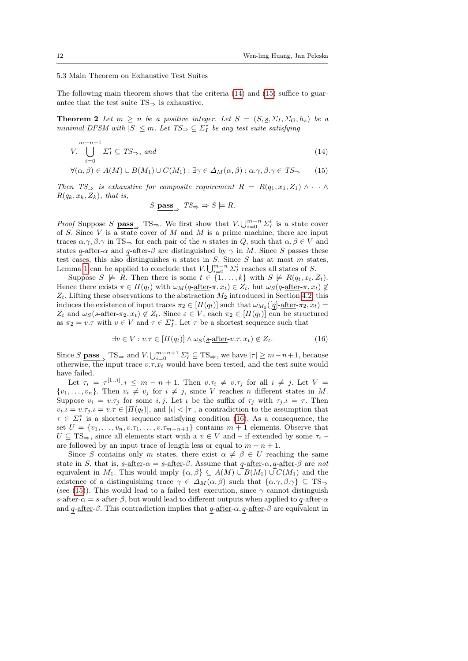#### 5.3 Main Theorem on Exhaustive Test Suites

The following main theorem shows that the criteria [\(14\)](#page-11-0) and [\(15\)](#page-11-1) suffice to guarantee that the test suite  $TS\Rightarrow$  is exhaustive.

<span id="page-11-3"></span>**Theorem 2** Let  $m > n$  be a positive integer. Let  $S = (S, s, \Sigma_I, \Sigma_O, h_s)$  be a minimal DFSM with  $|S| \leq m$ . Let  $TS_{\Rightarrow} \subseteq \Sigma_I^*$  be any test suite satisfying

$$
V. \bigcup_{i=0}^{m-n+1} \Sigma_I^i \subseteq TS_{\Rightarrow}, \text{ and} \tag{14}
$$

$$
\forall (\alpha, \beta) \in A(M) \cup B(M_1) \cup C(M_1) : \exists \gamma \in \Delta_M(\alpha, \beta) : \alpha. \gamma, \beta. \gamma \in TS_{\Rightarrow}
$$
 (15)

Then  $TS \Rightarrow$  is exhaustive for composite requirement  $R = R(q_1, x_1, Z_1) \wedge \cdots \wedge$  $R(q_k, x_k, Z_k)$ , that is,

<span id="page-11-1"></span><span id="page-11-0"></span>
$$
S \underline{\text{pass}}_{\Rightarrow} TS_{\Rightarrow} \Rightarrow S \models R.
$$

*Proof* Suppose S **pass** TS⇒. We first show that  $V \bigcup_{i=0}^{m-n} \Sigma_I^i$  is a state cover of S. Since V is a state cover of M and M is a prime machine, there are input traces  $\alpha.\gamma, \beta.\gamma$  in TS⇒ for each pair of the *n* states in Q, such that  $\alpha, \beta \in V$  and states q-after- $\alpha$  and q-after- $\beta$  are distinguished by  $\gamma$  in M. Since S passes these test cases, this also distinguishes n states in  $S$ . Since  $S$  has at most  $m$  states, Lemma [1](#page-4-1) can be applied to conclude that  $V \bigcup_{i=0}^{m-n} \sum_{I}^{i}$  reaches all states of S.

Suppose  $S \not\models R$ . Then there is some  $t \in \{1, \ldots, k\}$  with  $S \not\models R(q_t, x_t, Z_t)$ . Hence there exists  $\pi \in \Pi(q_t)$  with  $\omega_M(q$ -after- $\pi, x_t) \in Z_t$ , but  $\omega_S(q$ -after- $\pi, x_t) \notin$  $Z_t$ . Lifting these observations to the abstraction  $M_2$  introduced in Section [4.2,](#page-8-0) this induces the existence of input traces  $\pi_2 \in [H(q_t)]$  such that  $\omega_{M_2}([q]$ -after- $\pi_2, x_t)$  =  $Z_t$  and  $\omega_S(s$ -after- $\pi_2, x_t) \notin Z_t$ . Since  $\varepsilon \in V$ , each  $\pi_2 \in [\Pi(q_t)]$  can be structured as  $\pi_2 = v \cdot \tau$  with  $v \in V$  and  $\tau \in \Sigma_I^*$ . Let  $\tau$  be a shortest sequence such that

<span id="page-11-2"></span>
$$
\exists v \in V : v.\tau \in [H(q_t)] \land \omega_S(\underline{s}\text{-after-v}.\tau, x_t) \notin Z_t. \tag{16}
$$

Since  $S$  **pass**  $\Rightarrow$  TS $\Rightarrow$  and  $V \cup_{i=0}^{m-n+1} \Sigma_i^i \subseteq \text{TS}\Rightarrow$ , we have  $|\tau| \geq m-n+1$ , because otherwise, the input trace  $v.\tau.x_t$  would have been tested, and the test suite would have failed.

Let  $\tau_i = \tau^{[1..i]}, i \leq m-n+1$ . Then  $v.\tau_i \neq v.\tau_j$  for all  $i \neq j$ . Let  $V =$  $\{v_1, \ldots, v_n\}$ . Then  $v_i \neq v_j$  for  $i \neq j$ , since V reaches n different states in M. Suppose  $v_i = v.\tau_j$  for some i, j. Let  $\iota$  be the suffix of  $\tau_i$  with  $\tau_i \iota = \tau$ . Then  $v_i \cdot \iota = v \cdot \tau_j \cdot \iota = v \cdot \tau \in [H(q_t)],$  and  $|\iota| < |\tau|$ , a contradiction to the assumption that  $\tau \in \Sigma_I^*$  is a shortest sequence satisfying condition [\(16\)](#page-11-2). As a consequence, the set  $U = \{v_1, \ldots, v_n, v.\tau_1, \ldots, v.\tau_{m-n+1}\}\)$  contains  $m+1$  elements. Observe that  $U \subseteq TS_{\Rightarrow}$ , since all elements start with a  $v \in V$  and – if extended by some  $\tau_i$  – are followed by an input trace of length less or equal to  $m - n + 1$ .

Since S contains only m states, there exist  $\alpha \neq \beta \in U$  reaching the same state in S, that is, <u>s-after- $\alpha = s$ -after-β</u>. Assume that  $q$ -after- $\alpha$ ,  $q$ -after- $\beta$  are not equivalent in  $M_1$ . This would imply  $\{\alpha, \beta\} \subseteq A(M) \cup B(M_1) \cup C(M_1)$  and the existence of a distinguishing trace  $\gamma \in \Delta_M(\alpha, \beta)$  such that  $\{\alpha, \gamma, \beta, \gamma\} \subseteq TS_{\Rightarrow}$ (see [\(15\)](#page-11-1)). This would lead to a failed test execution, since  $\gamma$  cannot distinguish <u>s-after- $\alpha$ </u> = <u>s-after-</u> $\beta$ , but would lead to different outputs when applied to  $q$ -after- $\alpha$ and  $q$ -after- $\beta$ . This contradiction implies that  $q$ -after- $\alpha$ ,  $q$ -after- $\beta$  are equivalent in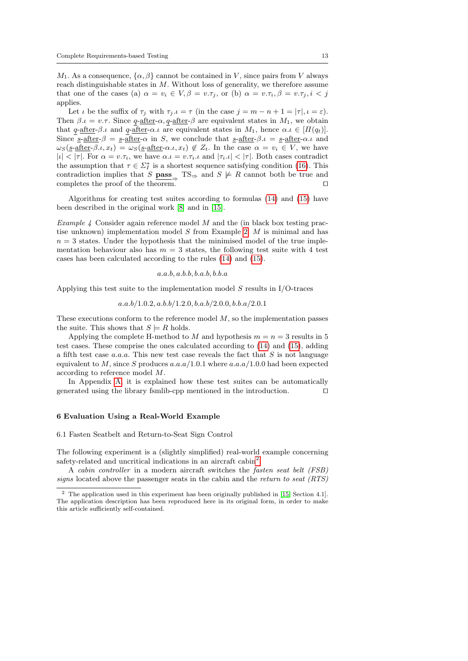$M_1$ . As a consequence,  $\{\alpha, \beta\}$  cannot be contained in V, since pairs from V always reach distinguishable states in  $M$ . Without loss of generality, we therefore assume that one of the cases (a)  $\alpha = v_i \in V, \beta = v.\tau_j$ , or (b)  $\alpha = v.\tau_i, \beta = v.\tau_j, i < j$ applies.

Let  $\iota$  be the suffix of  $\tau_j$  with  $\tau_j \cdot \iota = \tau$  (in the case  $j = m - n + 1 = |\tau|, \iota = \varepsilon$ ). Then  $\beta \mu = v \tau$ . Since q-after- $\alpha$ , q-after- $\beta$  are equivalent states in  $M_1$ , we obtain that q-after-β.ι and q-after-α.ι are equivalent states in  $M_1$ , hence  $\alpha.\iota \in [H(q_t)].$ Since  $\underline{s}\text{-after-}\beta = \underline{s}\text{-after-}\alpha$  in S, we conclude that  $\underline{s}\text{-after-}\beta.\iota = \underline{s}\text{-after-}\alpha.\iota$  and  $\omega_S(\underline{s}\text{-after-}\beta.\iota, x_t) = \omega_S(\underline{s}\text{-after-}\alpha.\iota, x_t) \notin Z_t$ . In the case  $\alpha = v_i \in V$ , we have  $|l| < |\tau|$ . For  $\alpha = v.\tau_i$ , we have  $\alpha \cdot \iota = v.\tau_i \cdot \iota$  and  $|\tau_i \cdot \iota| < |\tau|$ . Both cases contradict the assumption that  $\tau \in \Sigma_I^*$  is a shortest sequence satisfying condition [\(16\)](#page-11-2). This contradiction implies that S  $\underline{\text{pass}}$  TS⇒ and  $S \not\models R$  cannot both be true and completes the proof of the theorem.  $\Box$ 

Algorithms for creating test suites according to formulas [\(14\)](#page-11-0) and [\(15\)](#page-11-1) have been described in the original work [\[8\]](#page-26-6) and in [\[15\]](#page-26-4).

<span id="page-12-2"></span>*Example 4* Consider again reference model  $M$  and the (in black box testing practise unknown) implementation model S from Example [2.](#page-6-3) M is minimal and has  $n = 3$  states. Under the hypothesis that the minimised model of the true implementation behaviour also has  $m = 3$  states, the following test suite with 4 test cases has been calculated according to the rules [\(14\)](#page-11-0) and [\(15\)](#page-11-1).

## $a.a.b.a.b.b.b.a.b.b.b.a$

Applying this test suite to the implementation model  $S$  results in I/O-traces

$$
a.a.b/1.0.2, a.b.b/1.2.0, b.a.b/2.0.0, b.b.a/2.0.1
$$

These executions conform to the reference model  $M$ , so the implementation passes the suite. This shows that  $S \models R$  holds.

Applying the complete H-method to M and hypothesis  $m = n = 3$  results in 5 test cases. These comprise the ones calculated according to [\(14\)](#page-11-0) and [\(15\)](#page-11-1), adding a fifth test case  $a.a.a$ . This new test case reveals the fact that  $S$  is not language equivalent to M, since S produces  $a.a.a/1.0.1$  where  $a.a.a/1.0.0$  had been expected according to reference model M.

In Appendix [A,](#page-28-1) it is explained how these test suites can be automatically generated using the library fsmlib-cpp mentioned in the introduction.  $\Box$ 

# <span id="page-12-0"></span>6 Evaluation Using a Real-World Example

6.1 Fasten Seatbelt and Return-to-Seat Sign Control

The following experiment is a (slightly simplified) real-world example concerning safety-related and uncritical indications in an aircraft cabin<sup>[2](#page-12-1)</sup>.

A cabin controller in a modern aircraft switches the fasten seat belt (FSB) signs located above the passenger seats in the cabin and the return to seat (RTS)

<span id="page-12-1"></span> $2$  The application used in this experiment has been originally published in [\[15,](#page-26-4) Section 4.1]. The application description has been reproduced here in its original form, in order to make this article sufficiently self-contained.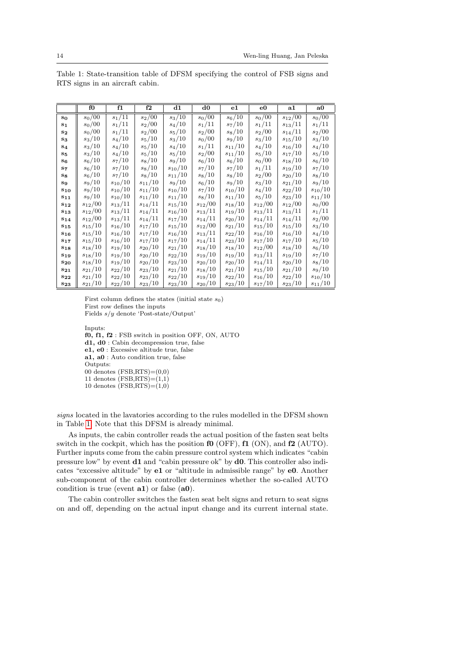|                | fO                  | f1                  | f <sub>2</sub>      | $_{\rm d1}$     | d0                  | $_{\rm e1}$     | e0                  | $\mathbf{a1}$          | a0                  |
|----------------|---------------------|---------------------|---------------------|-----------------|---------------------|-----------------|---------------------|------------------------|---------------------|
| $s_0$          | $s_0/\overline{00}$ | $s_1/\overline{11}$ | $s_2/\overline{00}$ | $s_3/10$        | $s_0/\overline{00}$ | $s_6/10$        | $s_0/\overline{00}$ | $s_{12}/\overline{00}$ | $s_0/\overline{00}$ |
| $s_1$          | $s_0/00$            | $s_1/11$            | $s_2/00$            | $s_4/10$        | $s_1/11$            | $s_7/10$        | $s_1/11$            | $s_{13}/11$            | $s_1/11\,$          |
| $s_{2}$        | $s_0/00$            | $s_1/11$            | $s_2/00\,$          | $s_{\rm 5}/10$  | $s_2/00$            | $s_8/10$        | $s_2/00$            | $s_{14}/11$            | $s_2/00$            |
| $s_3$          | $s_3/10$            | $s_4/10\,$          | $s_{5}/10$          | $s_3/10$        | $s_0/00$            | $s_9/10$        | $s_3/10$            | $s_{\rm 15}/10$        | $s_3/10$            |
| S <sub>4</sub> | $s_3/10$            | $s_4/10$            | $s_{5}/10$          | $s_4/10\,$      | $s_1/11$            | $s_{11}/10$     | $s_4/10$            | $s_{16}/10$            | $s_4/10$            |
| $S_{5}$        | $s_3/10$            | $s_4/10$            | $s_{5}/10$          | $s_{\rm 5}/10$  | $s_2/00$            | $s_{11}/10\,$   | $s_{5}/10$          | $s_{17}/10\,$          | $s_{5}/10$          |
| $S_6$          | $s_6/10$            | $s_7/10$            | $s_8/10$            | $s_{9}/10$      | $s_{\rm 6}/10$      | $s_6/10$        | $s_0/00$            | $s_{18}/10\,$          | $s_{\rm 6}/10$      |
| S7             | $s_6/10$            | $s_7/10$            | $s_8/10$            | $s_{\rm 10}/10$ | $s_7/10\,$          | $s_7/10$        | $s_1/11$            | $s_{19}/10\,$          | $s_7/10\,$          |
| $s_{8}$        | $s_6/10$            | $s_7/10\,$          | $s_8/10$            | $s_{11}/10\,$   | $s_8/10$            | $s_8/10$        | $s_2/00$            | $s_{\rm 20}/10$        | $s_8/10$            |
| S9             | $s_9/10$            | $s_{10}/10$         | $s_{11}/10\,$       | $s_9/10$        | $s_6/10$            | $s_9/10$        | $s_3/10$            | $s_{21}/10$            | $s_9/10$            |
| $s_{10}$       | $s_9/10$            | $s_{10}/10$         | $s_{11}/10$         | $s_{10}/10$     | $s_7/10$            | $s_{\rm 10}/10$ | $s_4/10$            | $s_{\rm 22}/10$        | $s_{\rm 10}/10$     |
| $s_{11}$       | $s_9/10$            | $s_{10}/10$         | $s_{11}/10\,$       | $s_{11}/10$     | $s_8/10$            | $s_{11}/10$     | $s_{5}/10$          | $s_{23}/10$            | $s_{11}/10\,$       |
| $S_{12}$       | $s_{12}/00\,$       | $s_{13}/11$         | $s_{14}/11\,$       | $s_{15}/10$     | $s_{12}/00\,$       | $s_{18}/10$     | $s_{12}/00$         | $s_{12}/00\,$          | $s_0/00$            |
| $s_{13}$       | $s_{12}/00\,$       | $s_{13}/11$         | $s_{14}/11\,$       | $s_{16}/10\,$   | $s_{13}/11$         | $s_{19}/10\,$   | $s_{13}/11$         | $s_{13}/11$            | $s_1/11\,$          |
| $S_{14}$       | $s_{12}/00\,$       | $s_{13}/11$         | $s_{14}/11\,$       | $s_{17}/10\,$   | $s_{14}/11$         | $s_{20}/10$     | $s_{14}/11$         | $s_{14}/11$            | $s_2/00$            |
| $S_{15}$       | $s_{15}/10\,$       | $s_{16}/10$         | $s_{17}/10\,$       | $s_{15}/10\,$   | $s_{12}/00\,$       | $s_{21}/10$     | $s_{\rm 15}/10$     | $s_{15}/10$            | $s_3/10$            |
| $S_{16}$       | $s_{\rm 15}/10$     | $s_{16}/10$         | $s_{17}/10\,$       | $s_{16}/10\,$   | $s_{13}/11\,$       | $s_{\rm 22}/10$ | $s_{16}/10$         | $s_{16}/10\,$          | $s_4/10$            |
| $s_{17}$       | $s_{\rm 15}/10$     | $s_{16}/10\,$       | $s_{17}/10\,$       | $s_{17}/10\,$   | $s_{14}/11\,$       | $s_{23}/10\,$   | $s_{17}/10\,$       | $s_{17}/10\,$          | $s_{\rm 5}/10$      |
| $s_{18}$       | $s_{18}/10\,$       | $s_{19}/10\,$       | $s_{\rm 20}/10$     | $s_{\rm 21}/10$ | $s_{18}/10\,$       | $s_{18}/10\,$   | $s_{12}/00\,$       | $s_{18}/10\,$          | $s_{\rm 6}/10$      |
| $s_{19}$       | $s_{18}/10\,$       | $s_{19}/10\,$       | $s_{\rm 20}/10$     | $s_{\rm 22}/10$ | $s_{19}/10\,$       | $s_{19}/10\,$   | $s_{13}/11\,$       | $s_{19}/10\,$          | $s_7/10\,$          |
| $S_{20}$       | $s_{18}/10$         | $s_{19}/10$         | $s_{20}/10$         | $s_{23}/10\,$   | $\sqrt{s_{20}/10}$  | $s_{20}/10$     | $s_{14}/11$         | $s_{20}/10$            | $s_8/10$            |
| $S_{21}$       | $s_{\rm 21}/10$     | $s_{\rm 22}/10$     | $s_{23}/10\,$       | $s_{\rm 21}/10$ | $s_{18}/10$         | $s_{21}/10$     | $s_{15}/10$         | $s_{\rm 21}/10$        | $s_{9}/10$          |
| $S_{22}$       | $s_{\rm 21}/10$     | $s_{\rm 22}/10$     | $s_{23}/10$         | $s_{\rm 22}/10$ | $s_{19}/10\,$       | $s_{22}/10$     | $s_{16}/10$         | $s_{\rm 22}/10$        | $s_{\rm 10}/10$     |
| $s_{23}$       | $s_{21}/10$         | $s_{22}/10$         | $s_{23}/10$         | $s_{23}/10$     | $s_{20}/10$         | $s_{23}/10$     | $s_{17}/10$         | $s_{23}/10\,$          | $s_{11}/10$         |

<span id="page-13-0"></span>Table 1: State-transition table of DFSM specifying the control of FSB signs and RTS signs in an aircraft cabin.

First column defines the states (initial state  $s_0$ ) First row defines the inputs Fields s/y denote 'Post-state/Output'

Inputs: f0, f1, f2 : FSB switch in position OFF, ON, AUTO d1, d0 : Cabin decompression true, false e1, e0 : Excessive altitude true, false a1, a0 : Auto condition true, false Outputs: 00 denotes  $(FSB, RTS) = (0,0)$ 11 denotes  $(FSB, RTS)=(1,1)$ 10 denotes  $(FSB, RTS)=(1,0)$ 

signs located in the lavatories according to the rules modelled in the DFSM shown in Table [1.](#page-13-0) Note that this DFSM is already minimal.

As inputs, the cabin controller reads the actual position of the fasten seat belts switch in the cockpit, which has the position  $f0$  (OFF),  $f1$  (ON), and  $f2$  (AUTO). Further inputs come from the cabin pressure control system which indicates "cabin pressure low" by event d1 and "cabin pressure ok" by d0. This controller also indicates "excessive altitude" by e1 or "altitude in admissible range" by e0. Another sub-component of the cabin controller determines whether the so-called AUTO condition is true (event  $a1$ ) or false  $(a0)$ .

The cabin controller switches the fasten seat belt signs and return to seat signs on and off, depending on the actual input change and its current internal state.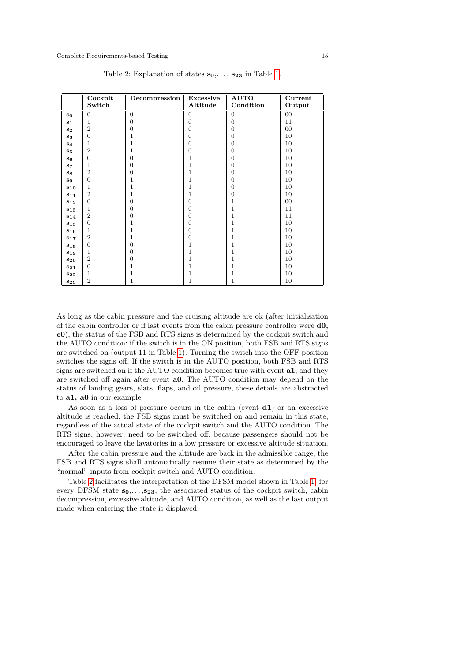<span id="page-14-0"></span>

|                  | Cockpit          | Decompression    | Excessive      | <b>AUTO</b>      | Current |
|------------------|------------------|------------------|----------------|------------------|---------|
|                  | Switch           |                  | Altitude       | Condition        | Output  |
| $s_0$            | $\theta$         | $\overline{0}$   | $\overline{0}$ | $\overline{0}$   | $00\,$  |
| $s_1$            | 1                | $\overline{0}$   | $\overline{0}$ | $\overline{0}$   | 11      |
| $s_{2}$          | $\overline{2}$   | $\overline{0}$   | $\overline{0}$ | $\overline{0}$   | $00\,$  |
| $S_3$            | $\overline{0}$   | 1                | $\overline{0}$ | $\overline{0}$   | 10      |
| S <sub>4</sub>   | 1                | $\mathbf 1$      | $\overline{0}$ | $\overline{0}$   | 10      |
| $S_{5}$          | $\overline{2}$   | 1                | $\mathbf{0}$   | $\boldsymbol{0}$ | 10      |
| S6               | $\overline{0}$   | $\overline{0}$   | 1              | $\boldsymbol{0}$ | 10      |
| s <sub>7</sub>   | 1                | $\overline{0}$   | 1              | $\overline{0}$   | 10      |
| $S_{8}$          | $\overline{2}$   | $\boldsymbol{0}$ | 1              | $\boldsymbol{0}$ | 10      |
| $\mathbf{s}_{9}$ | $\boldsymbol{0}$ | $\mathbf 1$      | $\overline{1}$ | $\boldsymbol{0}$ | 10      |
| $s_{10}$         | 1                | 1                | 1              | $\boldsymbol{0}$ | 10      |
| $s_{11}$         | $\overline{2}$   | 1                | 1              | $\overline{0}$   | 10      |
| $s_{12}$         | $\overline{0}$   | $\overline{0}$   | $\overline{0}$ | $\mathbf{1}$     | $00\,$  |
| $s_{13}$         | 1                | $\boldsymbol{0}$ | $\mathbf{0}$   | $\mathbf{1}$     | 11      |
| $s_{14}$         | $\boldsymbol{2}$ | $\boldsymbol{0}$ | $\overline{0}$ | $\mathbf{1}$     | 11      |
| $s_{15}$         | $\overline{0}$   | 1                | $\mathbf{0}$   | 1                | 10      |
| S16              | 1                | 1                | $\overline{0}$ | 1                | 10      |
| S17              | $\overline{2}$   | 1                | $\overline{0}$ | 1                | 10      |
| $s_{18}$         | $\overline{0}$   | $\boldsymbol{0}$ | 1              | $\mathbf{1}$     | 10      |
| $s_{19}$         | $\mathbf 1$      | $\boldsymbol{0}$ | $\overline{1}$ | $\mathbf{1}$     | 10      |
| $s_{20}$         | $\overline{2}$   | $\boldsymbol{0}$ | 1              | 1                | 10      |
| $s_{21}$         | $\overline{0}$   | 1                | 1              | $\mathbf{1}$     | 10      |
| $s_{22}$         | 1                | 1                | 1              | 1                | 10      |
| $s_{23}$         | $\overline{2}$   | 1                | 1              | 1                | 10      |

Table 2: Explanation of states  $s_0, \ldots, s_{23}$  in Table [1.](#page-13-0)

As long as the cabin pressure and the cruising altitude are ok (after initialisation of the cabin controller or if last events from the cabin pressure controller were d0, e0), the status of the FSB and RTS signs is determined by the cockpit switch and the AUTO condition: if the switch is in the ON position, both FSB and RTS signs are switched on (output 11 in Table [1\)](#page-13-0). Turning the switch into the OFF position switches the signs off. If the switch is in the AUTO position, both FSB and RTS signs are switched on if the AUTO condition becomes true with event a1, and they are switched off again after event a0. The AUTO condition may depend on the status of landing gears, slats, flaps, and oil pressure, these details are abstracted to a1, a0 in our example.

As soon as a loss of pressure occurs in the cabin (event  $d1$ ) or an excessive altitude is reached, the FSB signs must be switched on and remain in this state, regardless of the actual state of the cockpit switch and the AUTO condition. The RTS signs, however, need to be switched off, because passengers should not be encouraged to leave the lavatories in a low pressure or excessive altitude situation.

After the cabin pressure and the altitude are back in the admissible range, the FSB and RTS signs shall automatically resume their state as determined by the "normal" inputs from cockpit switch and AUTO condition.

Table [2](#page-14-0) facilitates the interpretation of the DFSM model shown in Table [1:](#page-13-0) for every DFSM state  $s_0, \ldots, s_{23}$ , the associated status of the cockpit switch, cabin decompression, excessive altitude, and AUTO condition, as well as the last output made when entering the state is displayed.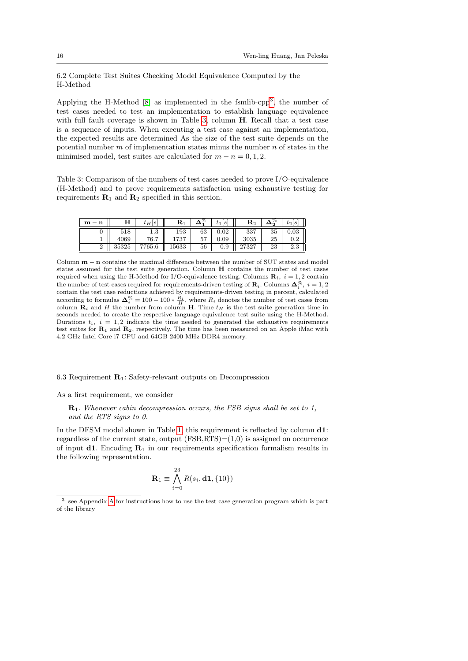6.2 Complete Test Suites Checking Model Equivalence Computed by the H-Method

Applying the H-Method  $[8]$  as implemented in the fsmlib-cpp<sup>[3](#page-15-0)</sup>, the number of test cases needed to test an implementation to establish language equivalence with full fault coverage is shown in Table [3,](#page-15-1) column **H**. Recall that a test case is a sequence of inputs. When executing a test case against an implementation, the expected results are determined As the size of the test suite depends on the potential number  $m$  of implementation states minus the number  $n$  of states in the minimised model, test suites are calculated for  $m - n = 0, 1, 2$ .

<span id="page-15-1"></span>Table 3: Comparison of the numbers of test cases needed to prove I/O-equivalence (H-Method) and to prove requirements satisfaction using exhaustive testing for requirements  $\mathbf{R}_1$  and  $\mathbf{R}_2$  specified in this section.

| $m - n$ | п     | $t_H s $ | $\mathbf{R}_1$ | %        | S <br>$t_{1}$ | $\rm R_2$  |    | $\circ$<br>$t_2$     |
|---------|-------|----------|----------------|----------|---------------|------------|----|----------------------|
|         | 518   | ⊥.⊍      | 193            | 63       | $_{0.02}$     | 227<br>. പ | 35 | $_{0.03}$            |
|         | 4069  | 76.7     | 1737           | 57<br>ບ≀ | $_{0.09}$     | 3035       | 25 | റാ<br>v. 4           |
| ▵       | 35325 | 7765.6   | 15633          | 56       | $_{0.9}$      | ، 26 ت     | 23 | റ<br>$\Omega$<br>ن.⊿ |

Column m − n contains the maximal difference between the number of SUT states and model states assumed for the test suite generation. Column H contains the number of test cases required when using the H-Method for I/O-equivalence testing. Columns  $\mathbf{R}_i$ ,  $i = 1, 2$  contain the number of test cases required for requirements-driven testing of  $\mathbf{R}_i$ . Columns  $\mathbf{\Delta}_i^{\%}, i = 1, 2$ contain the test case reductions achieved by requirements-driven testing in percent, calculated according to formulas  $\Delta_i^{\%} = 100 - 100 * \frac{R_i}{H}$ , where  $R_i$  denotes the number of test cases from column  $\mathbf{R}_i$  and H the number from column H. Time  $t_H$  is the test suite generation time in seconds needed to create the respective language equivalence test suite using the H-Method. Durations  $t_i$ ,  $i = 1, 2$  indicate the time needed to generated the exhaustive requirements test suites for  $\mathbb{R}_1$  and  $\mathbb{R}_2$ , respectively. The time has been measured on an Apple iMac with 4.2 GHz Intel Core i7 CPU and 64GB 2400 MHz DDR4 memory.

6.3 Requirement  $\mathbf{R}_1$ : Safety-relevant outputs on Decompression

As a first requirement, we consider

 $\mathbf{R}_1$ . Whenever cabin decompression occurs, the FSB signs shall be set to 1, and the RTS signs to 0.

In the DFSM model shown in Table [1,](#page-13-0) this requirement is reflected by column d1: regardless of the current state, output  $(FSB,RTS)=(1,0)$  is assigned on occurrence of input **d1**. Encoding  $\mathbf{R}_1$  in our requirements specification formalism results in the following representation.

$$
\mathbf{R}_1 \equiv \bigwedge_{i=0}^{23} R(s_i,\mathbf{d1},\{10\})
$$

<span id="page-15-0"></span><sup>3</sup> see Appendix [A](#page-28-1) for instructions how to use the test case generation program which is part of the library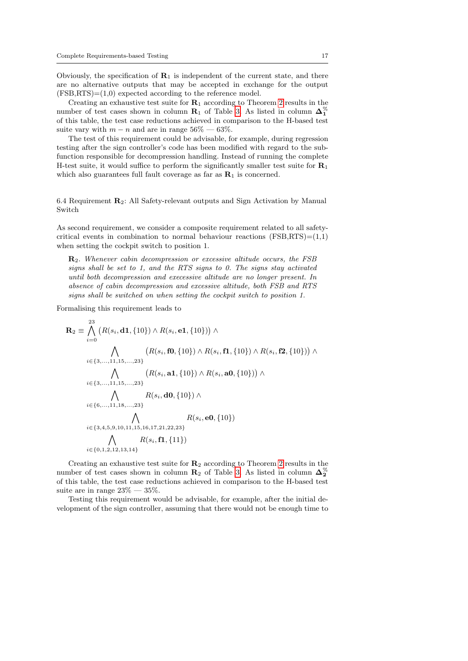Obviously, the specification of  $R_1$  is independent of the current state, and there are no alternative outputs that may be accepted in exchange for the output  $(FSB, RTS) = (1,0)$  expected according to the reference model.

Creating an exhaustive test suite for  $R_1$  according to Theorem [2](#page-11-3) results in the number of test cases shown in column  $\mathbf{R}_1$  of Table [3.](#page-15-1) As listed in column  $\mathbf{\Delta}_1^{\%}$ of this table, the test case reductions achieved in comparison to the H-based test suite vary with  $m - n$  and are in range  $56\% - 63\%$ .

The test of this requirement could be advisable, for example, during regression testing after the sign controller's code has been modified with regard to the subfunction responsible for decompression handling. Instead of running the complete H-test suite, it would suffice to perform the significantly smaller test suite for  $R_1$ which also guarantees full fault coverage as far as  $\mathbf{R}_1$  is concerned.

6.4 Requirement R2: All Safety-relevant outputs and Sign Activation by Manual Switch

As second requirement, we consider a composite requirement related to all safetycritical events in combination to normal behaviour reactions  $(FSB, RTS)=(1,1)$ when setting the cockpit switch to position 1.

 $\mathbf{R}_2$ . Whenever cabin decompression or excessive altitude occurs, the FSB signs shall be set to 1, and the RTS signs to 0. The signs stay activated until both decompression and execessive altitude are no longer present. In absence of cabin decompression and excessive altitude, both FSB and RTS signs shall be switched on when setting the cockpit switch to position 1.

Formalising this requirement leads to

$$
\mathbf{R}_{2} \equiv \bigwedge_{i=0}^{23} (R(s_{i}, \mathbf{d1}, \{10\}) \land R(s_{i}, \mathbf{e1}, \{10\})) \land \n\bigwedge_{i \in \{3,\ldots,11,15,\ldots,23\}} (R(s_{i}, \mathbf{f0}, \{10\}) \land R(s_{i}, \mathbf{f1}, \{10\}) \land R(s_{i}, \mathbf{f2}, \{10\})) \land \n\in \{3,\ldots,11,15,\ldots,23\} \bigwedge_{i \in \{3,\ldots,11,15,\ldots,23\}} R(s_{i}, \mathbf{d0}, \{10\}) \land \n\in \{6,\ldots,11,18,\ldots,23\} \bigwedge_{i \in \{3,4,5,9,10,11,15,16,17,21,22,23\}} R(s_{i}, \mathbf{e0}, \{10\}) \n\in \{9,1,2,12,13,14\} \bigwedge_{i \in \{0,1,2,12,13,14\}} R(s_{i}, \mathbf{f1}, \{11\})
$$

Creating an exhaustive test suite for  $\mathbf{R}_2$  according to Theorem [2](#page-11-3) results in the number of test cases shown in column  $\mathbf{R}_2$  of Table [3.](#page-15-1) As listed in column  $\boldsymbol{\Delta}_2^{\%}$ of this table, the test case reductions achieved in comparison to the H-based test suite are in range  $23\% - 35\%$ .

Testing this requirement would be advisable, for example, after the initial development of the sign controller, assuming that there would not be enough time to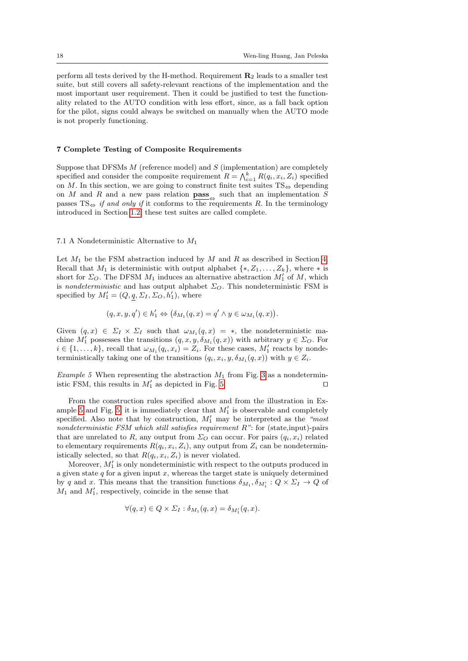perform all tests derived by the H-method. Requirement  $\mathbf{R}_2$  leads to a smaller test suite, but still covers all safety-relevant reactions of the implementation and the most important user requirement. Then it could be justified to test the functionality related to the AUTO condition with less effort, since, as a fall back option for the pilot, signs could always be switched on manually when the AUTO mode is not properly functioning.

## <span id="page-17-0"></span>7 Complete Testing of Composite Requirements

Suppose that DFSMs  $M$  (reference model) and  $S$  (implementation) are completely specified and consider the composite requirement  $R = \bigwedge_{i=1}^{k} R(q_i, x_i, Z_i)$  specified on M. In this section, we are going to construct finite test suites  $TS_{\Leftrightarrow}$  depending on M and R and a new pass relation  $\underline{\mathbf{p}}$  such that an implementation S passes  $TS \Leftrightarrow if and only if it conforms to the requirements R. In the terminology$ introduced in Section [1.2,](#page-1-0) these test suites are called complete.

#### <span id="page-17-2"></span>7.1 A Nondeterministic Alternative to  $M_1$

Let  $M_1$  be the FSM abstraction induced by M and R as described in Section [4.](#page-7-0) Recall that  $M_1$  is deterministic with output alphabet  $\{*, Z_1, \ldots, Z_k\}$ , where  $*$  is short for  $\Sigma_O$ . The DFSM  $M_1$  induces an alternative abstraction  $M'_1$  of  $M$ , which is *nondeterministic* and has output alphabet  $\Sigma_O$ . This nondeterministic FSM is specified by  $M'_1 = (Q, q, \Sigma_I, \Sigma_O, h'_1)$ , where

$$
(q, x, y, q') \in h'_1 \Leftrightarrow (\delta_{M_1}(q, x) = q' \land y \in \omega_{M_1}(q, x)).
$$

Given  $(q, x) \in \Sigma_I \times \Sigma_I$  such that  $\omega_{M_1}(q, x) = *$ , the nondeterministic machine  $M'_1$  possesses the transitions  $(q, x, y, \delta_{M_1}(q, x))$  with arbitrary  $y \in \Sigma_O$ . For  $i \in \{1, \ldots, k\}$ , recall that  $\omega_{M_1}(q_i, x_i) = Z_i$ . For these cases,  $M'_1$  reacts by nondeterministically taking one of the transitions  $(q_i, x_i, y, \delta_{M_1}(q, x))$  with  $y \in Z_i$ .

<span id="page-17-1"></span>Example 5 When representing the abstraction  $M_1$  from Fig. [3](#page-9-1) as a nondeterministic FSM, this results in  $M'_1$  as depicted in Fig. [5.](#page-18-0)

From the construction rules specified above and from the illustration in Ex-ample [5](#page-17-1) and Fig. [5,](#page-18-0) it is immediately clear that  $M'_1$  is observable and completely specified. Also note that by construction,  $M'_1$  may be interpreted as the "most nondeterministic FSM which still satisfies requirement  $R$ ": for (state,input)-pairs that are unrelated to R, any output from  $\Sigma_O$  can occur. For pairs  $(q_i, x_i)$  related to elementary requirements  $R(q_i, x_i, Z_i)$ , any output from  $Z_i$  can be nondeterministically selected, so that  $R(q_i, x_i, Z_i)$  is never violated.

Moreover,  $M'_1$  is only nondeterministic with respect to the outputs produced in a given state  $q$  for a given input  $x$ , whereas the target state is uniquely determined by q and x. This means that the transition functions  $\delta_{M_1}, \delta_{M'_1} : Q \times \Sigma_I \to Q$  of  $M_1$  and  $M'_1$ , respectively, coincide in the sense that

$$
\forall (q, x) \in Q \times \Sigma_I : \delta_{M_1}(q, x) = \delta_{M'_1}(q, x).
$$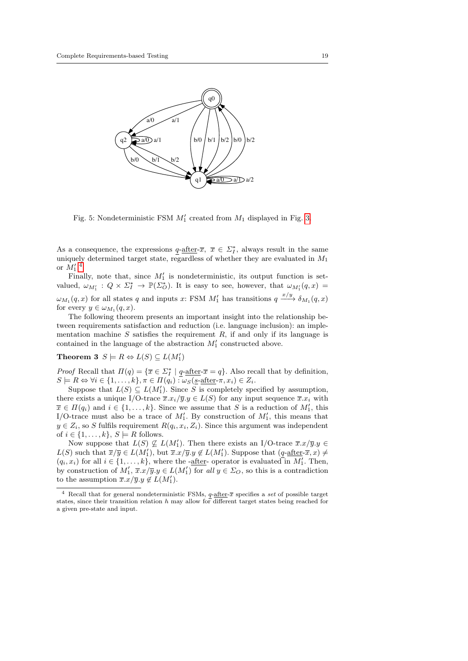<span id="page-18-0"></span>

Fig. 5: Nondeterministic FSM  $M'_1$  created from  $M_1$  displayed in Fig. [3.](#page-9-1)

As a consequence, the expressions  $q$ -after- $\overline{x}$ ,  $\overline{x} \in \Sigma_I^*$ , always result in the same uniquely determined target state, regardless of whether they are evaluated in  $M_1$ or  $M_1^{\prime}$ .<sup>[4](#page-18-1)</sup>

Finally, note that, since  $M'_1$  is nondeterministic, its output function is setvalued,  $\omega_{M_1'}$  :  $Q \times \Sigma_I^* \to \mathbb{P}(\Sigma_O^*)$ . It is easy to see, however, that  $\omega_{M_1'}(q,x)$  $\omega_{M_1}(q, x)$  for all states q and inputs x: FSM  $M'_1$  has transitions  $q \xrightarrow{x/y} \delta_{M_1}(q, x)$ for every  $y \in \omega_{M_1}(q, x)$ .

The following theorem presents an important insight into the relationship between requirements satisfaction and reduction (i.e. language inclusion): an implementation machine  $S$  satisfies the requirement  $R$ , if and only if its language is contained in the language of the abstraction  $M'_1$  constructed above.

# <span id="page-18-2"></span>Theorem 3  $S \models R \Leftrightarrow L(S) \subseteq L(M'_1)$

*Proof* Recall that  $\Pi(q) = {\overline{x} \in \Sigma_I^* \mid q\text{-after-}\overline{x} = q}$ . Also recall that by definition,  $S \models R \Leftrightarrow \forall i \in \{1, \ldots, k\}, \pi \in \Pi(q_i) : \omega_S(\underline{s\text{-after}} \pi, x_i) \in Z_i.$ 

Suppose that  $L(S) \subseteq L(M'_1)$ . Since S is completely specified by assumption, there exists a unique I/O-trace  $\overline{x}.x_i/\overline{y}.y \in L(S)$  for any input sequence  $\overline{x}.x_i$  with  $\overline{x} \in \Pi(q_i)$  and  $i \in \{1, ..., k\}$ . Since we assume that S is a reduction of  $M'_1$ , this I/O-trace must also be a trace of  $M'_1$ . By construction of  $M'_1$ , this means that  $y \in Z_i$ , so S fulfils requirement  $R(q_i, x_i, Z_i)$ . Since this argument was independent of  $i \in \{1, \ldots, k\}, S \models R$  follows.

Now suppose that  $L(S) \nsubseteq L(M'_1)$ . Then there exists an I/O-trace  $\overline{x}.x/\overline{y}.y \in$  $L(S)$  such that  $\overline{x}/\overline{y} \in L(M'_1)$ , but  $\overline{x}.x/\overline{y}.y \notin L(M'_1)$ . Suppose that  $(q$ -after- $\overline{x}, x \neq 0$  $(q_i, x_i)$  for all  $i \in \{1, ..., k\}$ , where the -after- operator is evaluated in  $M'_1$ . Then, by construction of  $M'_1$ ,  $\overline{x}.x/\overline{y}.y \in L(M'_1)$  for all  $y \in \Sigma_O$ , so this is a contradiction to the assumption  $\overline{x}.x/\overline{y}.y \notin L(M'_1)$ .

<span id="page-18-1"></span><sup>&</sup>lt;sup>4</sup> Recall that for general nondeterministic FSMs,  $q$ -after- $\overline{x}$  specifies a set of possible target states, since their transition relation  $h$  may allow for different target states being reached for a given pre-state and input.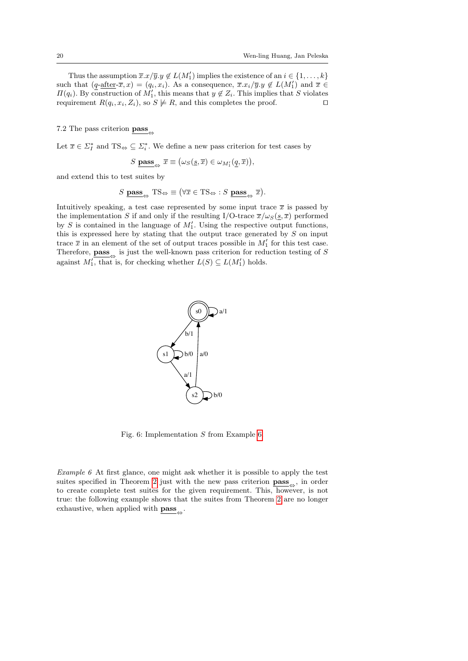Thus the assumption  $\overline{x}.x/\overline{y}.y \notin L(M'_1)$  implies the existence of an  $i \in \{1, \ldots, k\}$ such that  $(q$ -after- $\overline{x}, x$ ) =  $(q_i, x_i)$ . As a consequence,  $\overline{x}.x_i/\overline{y}.y \notin L(M'_1)$  and  $\overline{x} \in$  $\Pi(q_i)$ . By construction of  $M'_1$ , this means that  $y \notin Z_i$ . This implies that S violates requirement  $R(q_i, x_i, Z_i)$ , so  $S \not\models R$ , and this completes the proof.  $\square$ 

7.2 The pass criterion pass $\alpha$ 

Let  $\overline{x} \in \Sigma_I^*$  and  $TS_{\Leftrightarrow} \subseteq \Sigma_i^*$ . We define a new pass criterion for test cases by

$$
S \underline{\textbf{pass}}_{\Leftrightarrow} \overline{x} \equiv (\omega_S(\underline{s}, \overline{x}) \in \omega_{M'_1}(\underline{q}, \overline{x})),
$$

and extend this to test suites by

$$
S \underbrace{\text{pass}}_{\Leftrightarrow} \text{TS}_{\Leftrightarrow} \equiv (\forall \overline{x} \in \text{TS}_{\Leftrightarrow} : S \underbrace{\text{pass}}_{\Leftrightarrow} \overline{x}).
$$

<span id="page-19-1"></span>Intuitively speaking, a test case represented by some input trace  $\bar{x}$  is passed by the implementation S if and only if the resulting I/O-trace  $\overline{x}/\omega_s(\underline{s}, \overline{x})$  performed by S is contained in the language of  $M'_1$ . Using the respective output functions, this is expressed here by stating that the output trace generated by  $S$  on input trace  $\bar{x}$  in an element of the set of output traces possible in  $M'_1$  for this test case. Therefore,  $\underline{\textbf{pass}}_{\Leftrightarrow}$  is just the well-known pass criterion for reduction testing of S against  $M'_1$ , that is, for checking whether  $L(S) \subseteq L(M'_1)$  holds.



Fig. 6: Implementation S from Example [6.](#page-19-0)

<span id="page-19-0"></span>Example 6 At first glance, one might ask whether it is possible to apply the test suites specified in Theorem [2](#page-11-3) just with the new pass criterion  $\textbf{pass}_{\Leftrightarrow}$ , in order to create complete test suites for the given requirement. This, however, is not true: the following example shows that the suites from Theorem [2](#page-11-3) are no longer exhaustive, when applied with  $\underline{\mathbf{pass}}_{\Leftrightarrow}$  .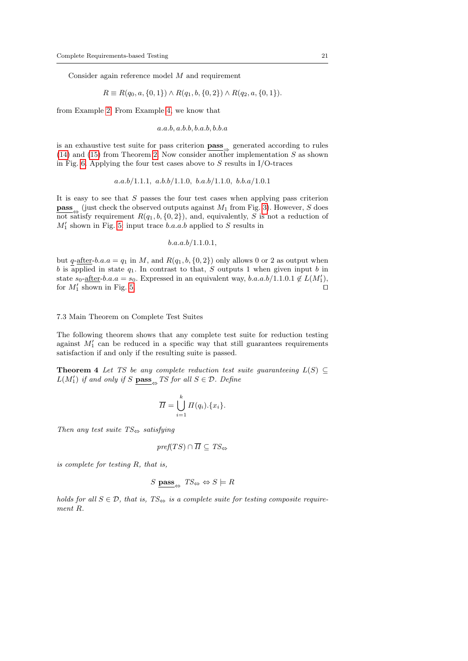Consider again reference model M and requirement

$$
R \equiv R(q_0, a, \{0, 1\}) \wedge R(q_1, b, \{0, 2\}) \wedge R(q_2, a, \{0, 1\}).
$$

from Example [2.](#page-6-3) From Example [4,](#page-12-2) we know that

$$
a.a.b, a.b.b, b.a.b, b.b.a
$$

is an exhaustive test suite for pass criterion  $\underline{\textbf{pass}}$  generated according to rules  $(14)$  and  $(15)$  from Theorem [2.](#page-11-3) Now consider another implementation S as shown in Fig. [6.](#page-19-1) Applying the four test cases above to  $S$  results in I/O-traces

$$
a.a.b/1.1.1, a.b.b/1.1.0, b.a.b/1.1.0, b.b.a/1.0.1
$$

It is easy to see that  $S$  passes the four test cases when applying pass criterion **pass** (just check the observed outputs against  $M_1$  from Fig. [3\)](#page-9-1). However, S does not satisfy requirement  $R(q_1, b, \{0, 2\})$ , and, equivalently, S is not a reduction of  $M_1^\prime$  shown in Fig. [5:](#page-18-0) input trace  $b.a.a.b$  applied to  $S$  results in

 $b.a.a.b/1.1.0.1,$ 

but  $q$ -after-b.a.a =  $q_1$  in M, and  $R(q_1, b, \{0, 2\})$  only allows 0 or 2 as output when  $b$  is applied in state  $q_1$ . In contrast to that,  $S$  outputs 1 when given input  $b$  in state  $s_0$ -after-b.a.a =  $s_0$ . Expressed in an equivalent way, b.a.a.b/1.1.0.1  $\notin L(M'_1)$ , for  $M'_1$  shown in Fig. [5.](#page-18-0)

7.3 Main Theorem on Complete Test Suites

The following theorem shows that any complete test suite for reduction testing against  $M'_1$  can be reduced in a specific way that still guarantees requirements satisfaction if and only if the resulting suite is passed.

<span id="page-20-0"></span>**Theorem 4** Let TS be any complete reduction test suite quaranteeing  $L(S) \subseteq$  $L(M'_1)$  if and only if S  $\mathbf{pass}_{\Leftrightarrow}$  TS for all  $S \in \mathcal{D}$ . Define

$$
\overline{\Pi} = \bigcup_{i=1}^{k} \Pi(q_i) . \{x_i\}.
$$

Then any test suite  $TS_{\Leftrightarrow}$  satisfying

$$
\mathit{pref}(TS)\cap\overline{\Pi}\subseteq TS_{\Leftrightarrow}
$$

is complete for testing R, that is,

$$
S \text{ pass}_{\Leftrightarrow} TS_{\Leftrightarrow} \Leftrightarrow S \models R
$$

holds for all  $S \in \mathcal{D}$ , that is,  $TS_{\Leftrightarrow}$  is a complete suite for testing composite requirement R.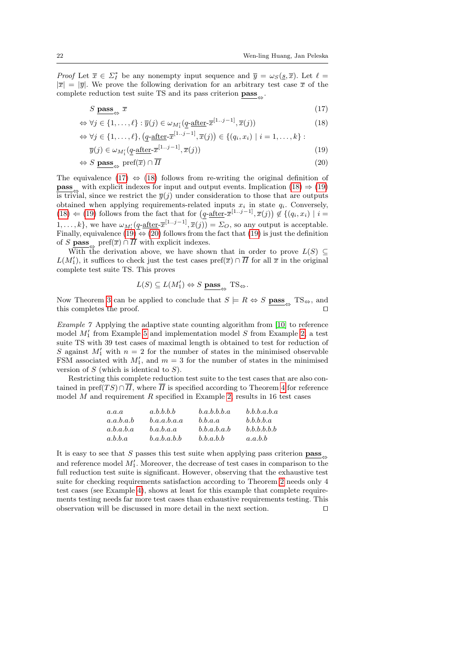*Proof* Let  $\bar{x} \in \Sigma_I^*$  be any nonempty input sequence and  $\bar{y} = \omega_S(\underline{s}, \bar{x})$ . Let  $\ell =$  $|\overline{x}| = |\overline{y}|$ . We prove the following derivation for an arbitrary test case  $\overline{x}$  of the complete reduction test suite TS and its pass criterion  $\underline{\textbf{pass}}_{\Leftrightarrow}$ .

<span id="page-21-0"></span>
$$
S \underline{\text{pass}} \underset{\leftrightarrow}{\text{mass}} \overline{x} \tag{17}
$$

$$
\Leftrightarrow \forall j \in \{1, \dots, \ell\} : \overline{y}(j) \in \omega_{M'_1}(\underline{q\text{-after}} \cdot \overline{x}^{[1\cdots j-1]}, \overline{x}(j))
$$
(18)

$$
\Leftrightarrow \forall j \in \{1, \ldots, \ell\}, \left(\underline{q}\text{-after-}\overline{x}^{[1\ldots j-1]}, \overline{x}(j)\right) \in \{(q_i, x_i) \mid i = 1, \ldots, k\} :
$$

$$
\overline{y}(j) \in \omega_{M_1'}(\underline{q}\text{-after-}\overline{x}^{[1\cdots j-1]}, \overline{x}(j))\tag{19}
$$

$$
\Leftrightarrow S \; \underline{\mathbf{pass}}_{\Leftrightarrow} \; \mathrm{pref}(\overline{x}) \cap \overline{H} \tag{20}
$$

The equivalence [\(17\)](#page-21-0)  $\Leftrightarrow$  [\(18\)](#page-21-0) follows from re-writing the original definition of **pass**<sub> $\Leftrightarrow$ </sub> with explicit indexes for input and output events. Implication [\(18\)](#page-21-0)  $\Rightarrow$  [\(19\)](#page-21-0) is trivial, since we restrict the  $\overline{y}(i)$  under consideration to those that are outputs obtained when applying requirements-related inputs  $x_i$  in state  $q_i$ . Conversely,  $(18)$   $\Leftarrow$  [\(19\)](#page-21-0) follows from the fact that for  $(q$ -after- $\bar{x}^{[1..j-1]}, \bar{x}(j)) \notin \{(q_i, x_i) \mid i =$ 1,...,k}, we have  $\omega_{M'_1}(\underline{q\text{-after}}\overline{x}^{[1..j-1]}, \overline{x}(j)) = \Sigma_O$ , so any output is acceptable. Finally, equivalence [\(19\)](#page-21-0)  $\Leftrightarrow$  [\(20\)](#page-21-0) follows from the fact that (19) is just the definition of S **pass** pref $(\overline{x}) \cap \overline{\Pi}$  with explicit indexes.

With the derivation above, we have shown that in order to prove  $L(S) \subseteq$  $L(M'_1)$ , it suffices to check just the test cases  $\text{pref}(\overline{x}) \cap \overline{\Pi}$  for all  $\overline{x}$  in the original complete test suite TS. This proves

$$
L(S) \subseteq L(M'_1) \Leftrightarrow S \underline{\text{pass}}_{\Leftrightarrow} \text{TS}_{\Leftrightarrow}.
$$

Now Theorem [3](#page-18-2) can be applied to conclude that  $S \models R \Leftrightarrow S$   $\mathbf{pass}_{\Leftrightarrow}$  TS $_{\Leftrightarrow}$ , and this completes the proof.  $\Box$ 

<span id="page-21-1"></span>Example 7 Applying the adaptive state counting algorithm from [\[10\]](#page-26-7) to reference model  $M'_1$  from Example [5](#page-17-1) and implementation model S from Example [2,](#page-6-3) a test suite TS with 39 test cases of maximal length is obtained to test for reduction of S against  $M'_1$  with  $n = 2$  for the number of states in the minimised observable FSM associated with  $M'_1$ , and  $m = 3$  for the number of states in the minimised version of  $S$  (which is identical to  $S$ ).

Restricting this complete reduction test suite to the test cases that are also contained in pref(TS)∩  $\overline{II}$ , where  $\overline{II}$  is specified according to Theorem [4](#page-20-0) for reference model  $M$  and requirement  $R$  specified in Example [2,](#page-6-3) results in 16 test cases

| a.a.a     | a.b.b.b.b   | b.a.b.b.b.a | b.b.b.a.b.a |
|-----------|-------------|-------------|-------------|
| a.a.b.a.b | b.a.a.b.a.a | b.b.a.a     | b.b.b.b.a   |
| a.b.a.b.a | b.a.b.a.a   | b.b.a.b.a.b | b.b.b.b.b.b |
| a.b.b.a   | b.a.b.a.b.b | b.b.a.b.b   | a.a.b.b     |

It is easy to see that S passes this test suite when applying pass criterion  $\textbf{pass}_{\rightarrow}$ and reference model  $M'_1$ . Moreover, the decrease of test cases in comparison to the full reduction test suite is significant. However, observing that the exhaustive test suite for checking requirements satisfaction according to Theorem [2](#page-11-3) needs only 4 test cases (see Example [4\)](#page-12-2), shows at least for this example that complete requirements testing needs far more test cases than exhaustive requirements testing. This observation will be discussed in more detail in the next section.  $\Box$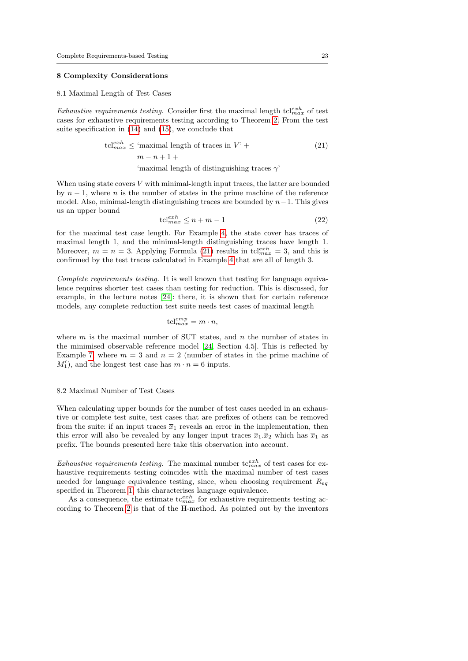# <span id="page-22-0"></span>8 Complexity Considerations

#### 8.1 Maximal Length of Test Cases

*Exhaustive requirements testing.* Consider first the maximal length  $tcl_{max}^{exh}$  of test cases for exhaustive requirements testing according to Theorem [2.](#page-11-3) From the test suite specification in [\(14\)](#page-11-0) and [\(15\)](#page-11-1), we conclude that

<span id="page-22-1"></span>
$$
\text{tcl}_{max}^{exh} \leq \text{'maximal length of traces in } V' +
$$
\n
$$
m - n + 1 +
$$
\n'
$$
\text{'maximal length of distinguishing traces } \gamma'
$$
\n(21)

When using state covers  $V$  with minimal-length input traces, the latter are bounded by  $n-1$ , where n is the number of states in the prime machine of the reference model. Also, minimal-length distinguishing traces are bounded by  $n-1$ . This gives us an upper bound

$$
tcl_{max}^{exh} \le n + m - 1\tag{22}
$$

for the maximal test case length. For Example [4,](#page-12-2) the state cover has traces of maximal length 1, and the minimal-length distinguishing traces have length 1. Moreover,  $m = n = 3$ . Applying Formula [\(21\)](#page-22-1) results in  $\text{tcl}^{exh}_{max} = 3$ , and this is confirmed by the test traces calculated in Example [4](#page-12-2) that are all of length 3.

Complete requirements testing. It is well known that testing for language equivalence requires shorter test cases than testing for reduction. This is discussed, for example, in the lecture notes [\[24\]](#page-27-5): there, it is shown that for certain reference models, any complete reduction test suite needs test cases of maximal length

$$
tcl_{max}^{cmp} = m \cdot n,
$$

where  $m$  is the maximal number of SUT states, and  $n$  the number of states in the minimised observable reference model [\[24,](#page-27-5) Section 4.5]. This is reflected by Example [7,](#page-21-1) where  $m = 3$  and  $n = 2$  (number of states in the prime machine of  $M'_1$ , and the longest test case has  $m \cdot n = 6$  inputs.

# 8.2 Maximal Number of Test Cases

When calculating upper bounds for the number of test cases needed in an exhaustive or complete test suite, test cases that are prefixes of others can be removed from the suite: if an input traces  $\overline{x}_1$  reveals an error in the implementation, then this error will also be revealed by any longer input traces  $\overline{x}_1 \cdot \overline{x}_2$  which has  $\overline{x}_1$  as prefix. The bounds presented here take this observation into account.

Exhaustive requirements testing. The maximal number  $t c_{max}^{exh}$  of test cases for exhaustive requirements testing coincides with the maximal number of test cases needed for language equivalence testing, since, when choosing requirement  $Re_q$ specified in Theorem [1,](#page-7-1) this characterises language equivalence.

As a consequence, the estimate  $t c_{max}^{exh}$  for exhaustive requirements testing according to Theorem [2](#page-11-3) is that of the H-method. As pointed out by the inventors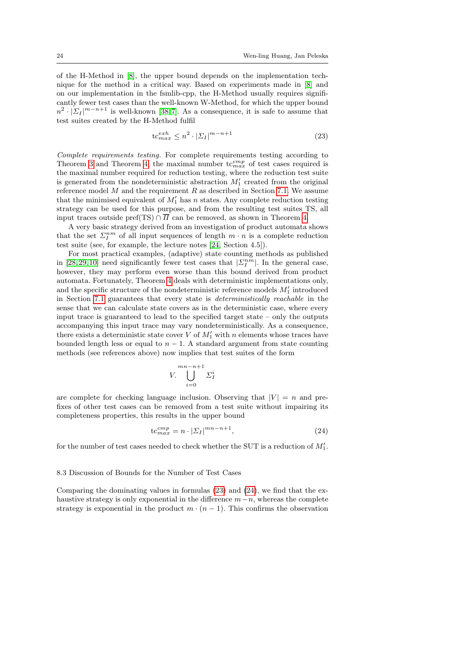of the H-Method in [\[8\]](#page-26-6), the upper bound depends on the implementation technique for the method in a critical way. Based on experiments made in [\[8\]](#page-26-6) and on our implementation in the fsmlib-cpp, the H-Method usually requires significantly fewer test cases than the well-known W-Method, for which the upper bound  $n^2 \cdot |\Sigma_I|^{m-n+1}$  is well-known [\[38,](#page-28-2)7]. As a consequence, it is safe to assume that test suites created by the H-Method fulfil

<span id="page-23-0"></span>
$$
\text{tc}^{exh}_{max} \leq n^2 \cdot |\Sigma_I|^{m-n+1} \tag{23}
$$

Complete requirements testing. For complete requirements testing according to Theorem [3](#page-18-2) and Theorem [4,](#page-20-0) the maximal number  $tc_{max}^{cmp}$  of test cases required is the maximal number required for reduction testing, where the reduction test suite is generated from the nondeterministic abstraction  $M'_1$  created from the original reference model  $M$  and the requirement  $R$  as described in Section [7.1.](#page-17-2) We assume that the minimised equivalent of  $M'_1$  has n states. Any complete reduction testing strategy can be used for this purpose, and from the resulting test suites TS, all input traces outside pref(TS) ∩  $\overline{\Pi}$  can be removed, as shown in Theorem [4.](#page-20-0)

A very basic strategy derived from an investigation of product automata shows that the set  $\Sigma_I^{nm}$  of all input sequences of length  $m \cdot n$  is a complete reduction test suite (see, for example, the lecture notes [\[24,](#page-27-5) Section 4.5]).

For most practical examples, (adaptive) state counting methods as published in [\[28,](#page-27-7) [29,](#page-27-8) [10\]](#page-26-7) need significantly fewer test cases that  $|\mathcal{\Sigma}_I^{nm}|$ . In the general case, however, they may perform even worse than this bound derived from product automata. Fortunately, Theorem [4](#page-20-0) deals with deterministic implementations only, and the specific structure of the nondeterministic reference models  $M'_1$  introduced in Section [7.1](#page-17-2) guarantees that every state is deterministically reachable in the sense that we can calculate state covers as in the deterministic case, where every input trace is guaranteed to lead to the specified target state – only the outputs accompanying this input trace may vary nondeterministically. As a consequence, there exists a deterministic state cover  $V$  of  $M'_1$  with n elements whose traces have bounded length less or equal to  $n - 1$ . A standard argument from state counting methods (see references above) now implies that test suites of the form

$$
V.\bigcup_{i=0}^{mn-n+1} \Sigma_I^i
$$

are complete for checking language inclusion. Observing that  $|V| = n$  and prefixes of other test cases can be removed from a test suite without impairing its completeness properties, this results in the upper bound

<span id="page-23-1"></span>
$$
tc_{max}^{cmp} = n \cdot |\Sigma_I|^{mn-n+1},\tag{24}
$$

for the number of test cases needed to check whether the SUT is a reduction of  $M_1'$ .

#### 8.3 Discussion of Bounds for the Number of Test Cases

Comparing the dominating values in formulas [\(23\)](#page-23-0) and [\(24\)](#page-23-1), we find that the exhaustive strategy is only exponential in the difference  $m-n$ , whereas the complete strategy is exponential in the product  $m \cdot (n-1)$ . This confirms the observation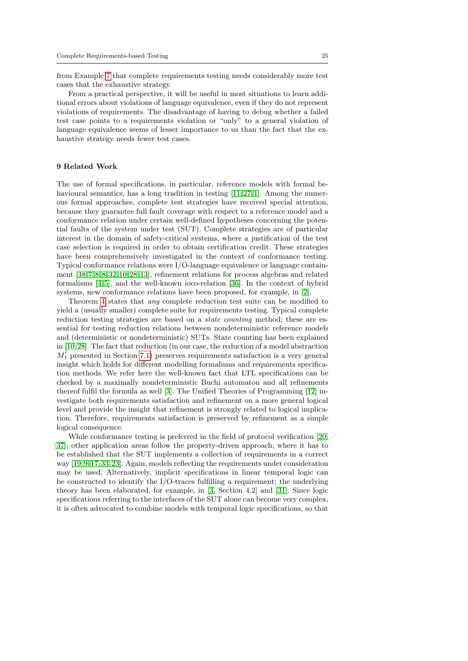from Example [7](#page-21-1) that complete requirements testing needs considerably more test cases that the exhaustive strategy.

From a practical perspective, it will be useful in most situations to learn additional errors about violations of language equivalence, even if they do not represent violations of requirements. The disadvantage of having to debug whether a failed test case points to a requirements violation or "only" to a general violation of language equivalence seems of lesser importance to us than the fact that the exhaustive strategy needs fewer test cases.

# <span id="page-24-0"></span>9 Related Work

The use of formal specifications, in particular, reference models with formal be-havioural semantics, has a long tradition in testing [\[11,](#page-26-9)27,[1\]](#page-25-1). Among the numerous formal approaches, complete test strategies have received special attention, because they guarantee full fault coverage with respect to a reference model and a conformance relation under certain well-defined hypotheses concerning the potential faults of the system under test (SUT). Complete strategies are of particular interest in the domain of safety-critical systems, where a justification of the test case selection is required in order to obtain certification credit. These strategies have been comprehensively investigated in the context of conformance testing. Typical conformance relations were I/O-language equivalence or language containment [\[38,](#page-28-2) [7,](#page-26-8) [8, 8,](#page-26-6)[32,](#page-27-10) [10,](#page-26-7) [28,](#page-27-7) [13\]](#page-26-1), refinement relations for process algebras and related formalisms [\[4,](#page-26-10) [5\]](#page-26-11), and the well-known ioco-relation [\[36\]](#page-28-3). In the context of hybrid systems, new conformance relations have been proposed, for example, in [\[2\]](#page-26-12).

Theorem [4](#page-20-0) states that any complete reduction test suite can be modified to yield a (usually smaller) complete suite for requirements testing. Typical complete reduction testing strategies are based on a *state counting* method; these are essential for testing reduction relations between nondeterministic reference models and (deterministic or nondeterministic) SUTs. State counting has been explained in [\[10,](#page-26-7) [28\]](#page-27-7). The fact that reduction (in our case, the reduction of a model abstraction  $M_1'$  presented in Section [7.1\)](#page-17-2) preserves requirements satisfaction is a very general insight which holds for different modelling formalisms and requirements specification methods. We refer here the well-known fact that LTL specifications can be checked by a maximally nondeterministic Buchi automaton and all refinements thereof fulfil the formula as well [\[3\]](#page-26-13). The Unified Theories of Programming [\[12\]](#page-26-14) investigate both requirements satisfaction and refinement on a more general logical level and provide the insight that refinement is strongly related to logical implication. Therefore, requirements satisfaction is preserved by refinement as a simple logical consequence.

While conformance testing is preferred in the field of protocol verification [\[20,](#page-27-2) [37\]](#page-28-4), other application areas follow the property-driven approach, where it has to be established that the SUT implements a collection of requirements in a correct way [\[19,](#page-27-11) [9,](#page-26-15) [17,](#page-26-16) [33,](#page-27-12)[23\]](#page-27-1). Again, models reflecting the requirements under consideration may be used. Alternatively, implicit specifications in linear temporal logic can be constructed to identify the I/O-traces fulfilling a requirement; the underlying theory has been elaborated, for example, in [\[3,](#page-26-13) Section 4.2] and [\[31\]](#page-27-13). Since logic specifications referring to the interfaces of the SUT alone can become very complex, it is often advocated to combine models with temporal logic specifications, so that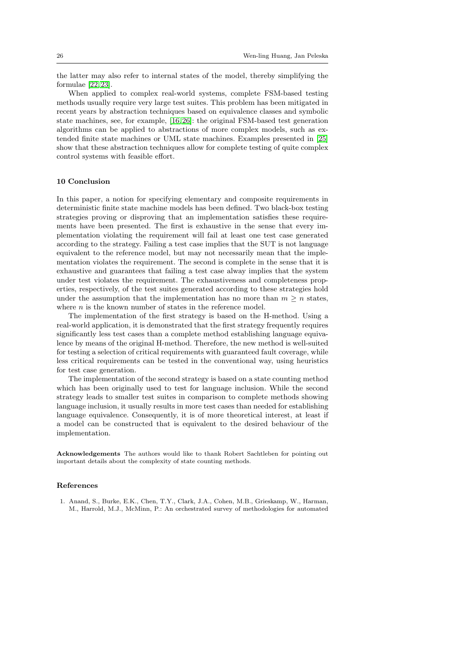the latter may also refer to internal states of the model, thereby simplifying the formulae [\[22,](#page-27-14) [23\]](#page-27-1).

When applied to complex real-world systems, complete FSM-based testing methods usually require very large test suites. This problem has been mitigated in recent years by abstraction techniques based on equivalence classes and symbolic state machines, see, for example, [\[16,](#page-26-2)[26\]](#page-27-15): the original FSM-based test generation algorithms can be applied to abstractions of more complex models, such as extended finite state machines or UML state machines. Examples presented in [\[25\]](#page-27-16) show that these abstraction techniques allow for complete testing of quite complex control systems with feasible effort.

# <span id="page-25-0"></span>10 Conclusion

In this paper, a notion for specifying elementary and composite requirements in deterministic finite state machine models has been defined. Two black-box testing strategies proving or disproving that an implementation satisfies these requirements have been presented. The first is exhaustive in the sense that every implementation violating the requirement will fail at least one test case generated according to the strategy. Failing a test case implies that the SUT is not language equivalent to the reference model, but may not necessarily mean that the implementation violates the requirement. The second is complete in the sense that it is exhaustive and guarantees that failing a test case alway implies that the system under test violates the requirement. The exhaustiveness and completeness properties, respectively, of the test suites generated according to these strategies hold under the assumption that the implementation has no more than  $m \geq n$  states, where  $n$  is the known number of states in the reference model.

The implementation of the first strategy is based on the H-method. Using a real-world application, it is demonstrated that the first strategy frequently requires significantly less test cases than a complete method establishing language equivalence by means of the original H-method. Therefore, the new method is well-suited for testing a selection of critical requirements with guaranteed fault coverage, while less critical requirements can be tested in the conventional way, using heuristics for test case generation.

The implementation of the second strategy is based on a state counting method which has been originally used to test for language inclusion. While the second strategy leads to smaller test suites in comparison to complete methods showing language inclusion, it usually results in more test cases than needed for establishing language equivalence. Consequently, it is of more theoretical interest, at least if a model can be constructed that is equivalent to the desired behaviour of the implementation.

Acknowledgements The authors would like to thank Robert Sachtleben for pointing out important details about the complexity of state counting methods.

# References

<span id="page-25-1"></span>1. Anand, S., Burke, E.K., Chen, T.Y., Clark, J.A., Cohen, M.B., Grieskamp, W., Harman, M., Harrold, M.J., McMinn, P.: An orchestrated survey of methodologies for automated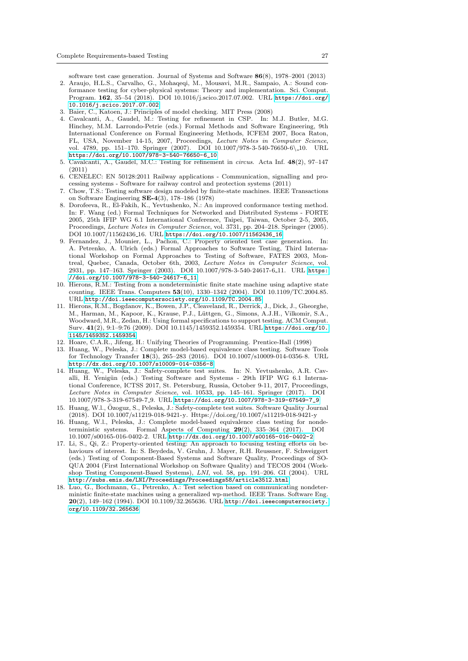software test case generation. Journal of Systems and Software 86(8), 1978–2001 (2013)

- <span id="page-26-12"></span>2. Araujo, H.L.S., Carvalho, G., Mohaqeqi, M., Mousavi, M.R., Sampaio, A.: Sound conformance testing for cyber-physical systems: Theory and implementation. Sci. Comput. Program. 162, 35–54 (2018). DOI 10.1016/j.scico.2017.07.002. URL [https://doi.org/](https://doi.org/10.1016/j.scico.2017.07.002) [10.1016/j.scico.2017.07.002](https://doi.org/10.1016/j.scico.2017.07.002)
- <span id="page-26-13"></span>3. Baier, C., Katoen, J.: Principles of model checking. MIT Press (2008)
- <span id="page-26-10"></span>4. Cavalcanti, A., Gaudel, M.: Testing for refinement in CSP. In: M.J. Butler, M.G. Hinchey, M.M. Larrondo-Petrie (eds.) Formal Methods and Software Engineering, 9th International Conference on Formal Engineering Methods, ICFEM 2007, Boca Raton, FL, USA, November 14-15, 2007, Proceedings, Lecture Notes in Computer Science, vol. 4789, pp. 151–170. Springer (2007). DOI 10.1007/978-3-540-76650-6\ 10. URL [https://doi.org/10.1007/978-3-540-76650-6\\_10](https://doi.org/10.1007/978-3-540-76650-6_10)
- <span id="page-26-11"></span>5. Cavalcanti, A., Gaudel, M.C.: Testing for refinement in circus. Acta Inf. 48(2), 97–147 (2011)
- <span id="page-26-0"></span>6. CENELEC: EN 50128:2011 Railway applications - Communication, signalling and processing systems - Software for railway control and protection systems (2011)
- <span id="page-26-8"></span>7. Chow, T.S.: Testing software design modeled by finite-state machines. IEEE Transactions on Software Engineering SE-4(3), 178–186 (1978)
- <span id="page-26-6"></span>8. Dorofeeva, R., El-Fakih, K., Yevtushenko, N.: An improved conformance testing method. In: F. Wang (ed.) Formal Techniques for Networked and Distributed Systems - FORTE 2005, 25th IFIP WG 6.1 International Conference, Taipei, Taiwan, October 2-5, 2005, Proceedings, Lecture Notes in Computer Science, vol. 3731, pp. 204–218. Springer (2005). DOI 10.1007/11562436 16. URL [https://doi.org/10.1007/11562436\\_16](https://doi.org/10.1007/11562436_16)
- <span id="page-26-15"></span>9. Fernandez, J., Mounier, L., Pachon, C.: Property oriented test case generation. In: A. Petrenko, A. Ulrich (eds.) Formal Approaches to Software Testing, Third International Workshop on Formal Approaches to Testing of Software, FATES 2003, Montreal, Quebec, Canada, October 6th, 2003, Lecture Notes in Computer Science, vol. 2931, pp. 147–163. Springer (2003). DOI 10.1007/978-3-540-24617-6 11. URL [https:](https://doi.org/10.1007/978-3-540-24617-6_11) [//doi.org/10.1007/978-3-540-24617-6\\_11](https://doi.org/10.1007/978-3-540-24617-6_11)
- <span id="page-26-7"></span>10. Hierons, R.M.: Testing from a nondeterministic finite state machine using adaptive state counting. IEEE Trans. Computers 53(10), 1330–1342 (2004). DOI 10.1109/TC.2004.85. URL <http://doi.ieeecomputersociety.org/10.1109/TC.2004.85>
- <span id="page-26-9"></span>11. Hierons, R.M., Bogdanov, K., Bowen, J.P., Cleaveland, R., Derrick, J., Dick, J., Gheorghe, M., Harman, M., Kapoor, K., Krause, P.J., Lüttgen, G., Simons, A.J.H., Vilkomir, S.A., Woodward, M.R., Zedan, H.: Using formal specifications to support testing. ACM Comput. Surv. 41(2), 9:1–9:76 (2009). DOI 10.1145/1459352.1459354. URL [https://doi.org/10.](https://doi.org/10.1145/1459352.1459354) [1145/1459352.1459354](https://doi.org/10.1145/1459352.1459354)

<span id="page-26-14"></span>12. Hoare, C.A.R., Jifeng, H.: Unifying Theories of Programming. Prentice-Hall (1998)

- <span id="page-26-1"></span>13. Huang, W., Peleska, J.: Complete model-based equivalence class testing. Software Tools for Technology Transfer 18(3), 265–283 (2016). DOI 10.1007/s10009-014-0356-8. URL <http://dx.doi.org/10.1007/s10009-014-0356-8>
- <span id="page-26-3"></span>14. Huang, W., Peleska, J.: Safety-complete test suites. In: N. Yevtushenko, A.R. Cavalli, H. Yenigün (eds.) Testing Software and Systems - 29th IFIP WG 6.1 International Conference, ICTSS 2017, St. Petersburg, Russia, October 9-11, 2017, Proceedings, Lecture Notes in Computer Science, vol. 10533, pp. 145–161. Springer (2017). DOI 10.1007/978-3-319-67549-7 9. URL [https://doi.org/10.1007/978-3-319-67549-7\\_9](https://doi.org/10.1007/978-3-319-67549-7_9)
- <span id="page-26-4"></span>15. Huang, W.l., Ozoguz, S., Peleska, J.: Safety-complete test suites. Software Quality Journal ¨ (2018). DOI 10.1007/s11219-018-9421-y. Https://doi.org/10.1007/s11219-018-9421-y
- <span id="page-26-2"></span>16. Huang, W.l., Peleska, J.: Complete model-based equivalence class testing for nondeterministic systems. Formal Aspects of Computing 29(2), 335–364 (2017). DOI 10.1007/s00165-016-0402-2. URL <http://dx.doi.org/10.1007/s00165-016-0402-2>
- <span id="page-26-16"></span>17. Li, S., Qi, Z.: Property-oriented testing: An approach to focusing testing efforts on behaviours of interest. In: S. Beydeda, V. Gruhn, J. Mayer, R.H. Reussner, F. Schweiggert (eds.) Testing of Component-Based Systems and Software Quality, Proceedings of SO-QUA 2004 (First International Workshop on Software Quality) and TECOS 2004 (Workshop Testing Component-Based Systems), LNI, vol. 58, pp. 191–206. GI (2004). URL <http://subs.emis.de/LNI/Proceedings/Proceedings58/article3512.html>
- <span id="page-26-5"></span>18. Luo, G., Bochmann, G., Petrenko, A.: Test selection based on communicating nondeterministic finite-state machines using a generalized wp-method. IEEE Trans. Software Eng. 20(2), 149–162 (1994). DOI 10.1109/32.265636. URL [http://doi.ieeecomputersociety.](http://doi.ieeecomputersociety.org/10.1109/32.265636) [org/10.1109/32.265636](http://doi.ieeecomputersociety.org/10.1109/32.265636)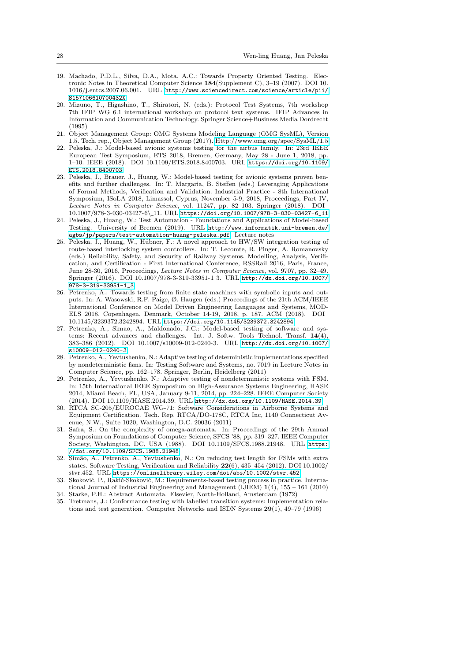- <span id="page-27-11"></span>19. Machado, P.D.L., Silva, D.A., Mota, A.C.: Towards Property Oriented Testing. Electronic Notes in Theoretical Computer Science 184(Supplement C), 3–19 (2007). DOI 10. 1016/j.entcs.2007.06.001. URL [http://www.sciencedirect.com/science/article/pii/](http://www.sciencedirect.com/science/article/pii/S157106610700432X) [S157106610700432X](http://www.sciencedirect.com/science/article/pii/S157106610700432X)
- <span id="page-27-2"></span>20. Mizuno, T., Higashino, T., Shiratori, N. (eds.): Protocol Test Systems, 7th workshop 7th IFIP WG 6.1 international workshop on protocol text systems. IFIP Advances in Information and Communication Technology. Springer Science+Business Media Dordrecht (1995)
- <span id="page-27-0"></span>21. Object Management Group: OMG Systems Modeling Language (OMG SysML), Version 1.5. Tech. rep., Object Management Group (2017).<Http://www.omg.org/spec/SysML/1.5>
- <span id="page-27-14"></span>22. Peleska, J.: Model-based avionic systems testing for the airbus family. In: 23rd IEEE European Test Symposium, ETS 2018, Bremen, Germany, May 28 - June 1, 2018, pp. 1–10. IEEE (2018). DOI 10.1109/ETS.2018.8400703. URL [https://doi.org/10.1109/](https://doi.org/10.1109/ETS.2018.8400703) [ETS.2018.8400703](https://doi.org/10.1109/ETS.2018.8400703)
- <span id="page-27-1"></span>23. Peleska, J., Brauer, J., Huang, W.: Model-based testing for avionic systems proven benefits and further challenges. In: T. Margaria, B. Steffen (eds.) Leveraging Applications of Formal Methods, Verification and Validation. Industrial Practice - 8th International Symposium, ISoLA 2018, Limassol, Cyprus, November 5-9, 2018, Proceedings, Part IV, Lecture Notes in Computer Science, vol. 11247, pp. 82–103. Springer (2018). DOI 10.1007/978-3-030-03427-6\ 11. URL [https://doi.org/10.1007/978-3-030-03427-6\\_11](https://doi.org/10.1007/978-3-030-03427-6_11)
- <span id="page-27-5"></span>24. Peleska, J., Huang, W.: Test Automation - Foundations and Applications of Model-based Testing. University of Bremen (2019). URL [http://www.informatik.uni-bremen.de/](http://www.informatik.uni-bremen.de/agbs/jp/papers/test-automation-huang-peleska.pdf) [agbs/jp/papers/test-automation-huang-peleska.pdf](http://www.informatik.uni-bremen.de/agbs/jp/papers/test-automation-huang-peleska.pdf). Lecture notes
- <span id="page-27-16"></span>25. Peleska, J., Huang, W., Hübner, F.: A novel approach to HW/SW integration testing of route-based interlocking system controllers. In: T. Lecomte, R. Pinger, A. Romanovsky (eds.) Reliability, Safety, and Security of Railway Systems. Modelling, Analysis, Verification, and Certification - First International Conference, RSSRail 2016, Paris, France, June 28-30, 2016, Proceedings, Lecture Notes in Computer Science, vol. 9707, pp. 32–49. Springer (2016). DOI 10.1007/978-3-319-33951-1 3. URL [http://dx.doi.org/10.1007/](http://dx.doi.org/10.1007/978-3-319-33951-1_3) [978-3-319-33951-1\\_3](http://dx.doi.org/10.1007/978-3-319-33951-1_3)
- <span id="page-27-15"></span>26. Petrenko, A.: Towards testing from finite state machines with symbolic inputs and outputs. In: A. Wasowski, R.F. Paige, Ø. Haugen (eds.) Proceedings of the 21th ACM/IEEE International Conference on Model Driven Engineering Languages and Systems, MOD-ELS 2018, Copenhagen, Denmark, October 14-19, 2018, p. 187. ACM (2018). DOI 10.1145/3239372.3242894. URL <https://doi.org/10.1145/3239372.3242894>
- <span id="page-27-9"></span>27. Petrenko, A., Simao, A., Maldonado, J.C.: Model-based testing of software and systems: Recent advances and challenges. Int. J. Softw. Tools Technol. Transf. 14(4), 383–386 (2012). DOI 10.1007/s10009-012-0240-3. URL [http://dx.doi.org/10.1007/](http://dx.doi.org/10.1007/s10009-012-0240-3) [s10009-012-0240-3](http://dx.doi.org/10.1007/s10009-012-0240-3)
- <span id="page-27-7"></span>28. Petrenko, A., Yevtushenko, N.: Adaptive testing of deterministic implementations specified by nondeterministic fsms. In: Testing Software and Systems, no. 7019 in Lecture Notes in Computer Science, pp. 162–178. Springer, Berlin, Heidelberg (2011)
- <span id="page-27-8"></span>29. Petrenko, A., Yevtushenko, N.: Adaptive testing of nondeterministic systems with FSM. In: 15th International IEEE Symposium on High-Assurance Systems Engineering, HASE 2014, Miami Beach, FL, USA, January 9-11, 2014, pp. 224–228. IEEE Computer Society (2014). DOI 10.1109/HASE.2014.39. URL <http://dx.doi.org/10.1109/HASE.2014.39>
- <span id="page-27-3"></span>30. RTCA SC-205/EUROCAE WG-71: Software Considerations in Airborne Systems and Equipment Certification. Tech. Rep. RTCA/DO-178C, RTCA Inc, 1140 Connecticut Avenue, N.W., Suite 1020, Washington, D.C. 20036 (2011)
- <span id="page-27-13"></span>31. Safra, S.: On the complexity of omega-automata. In: Proceedings of the 29th Annual Symposium on Foundations of Computer Science, SFCS '88, pp. 319–327. IEEE Computer Society, Washington, DC, USA (1988). DOI 10.1109/SFCS.1988.21948. URL [https:](https://doi.org/10.1109/SFCS.1988.21948) [//doi.org/10.1109/SFCS.1988.21948](https://doi.org/10.1109/SFCS.1988.21948)
- <span id="page-27-10"></span>32. Sim˜ao, A., Petrenko, A., Yevtushenko, N.: On reducing test length for FSMs with extra states. Software Testing, Verification and Reliability 22(6), 435–454 (2012). DOI 10.1002/ stvr.452. URL <https://onlinelibrary.wiley.com/doi/abs/10.1002/stvr.452>
- <span id="page-27-12"></span>33. Skoković, P., Rakić-Skoković, M.: Requirements-based testing process in practice. International Journal of Industrial Engineering and Management (IJIEM) 1(4), 155 – 161 (2010)
- <span id="page-27-6"></span>34. Starke, P.H.: Abstract Automata. Elsevier, North-Holland, Amsterdam (1972)
- <span id="page-27-4"></span>35. Tretmans, J.: Conformance testing with labelled transition systems: Implementation relations and test generation. Computer Networks and ISDN Systems 29(1), 49–79 (1996)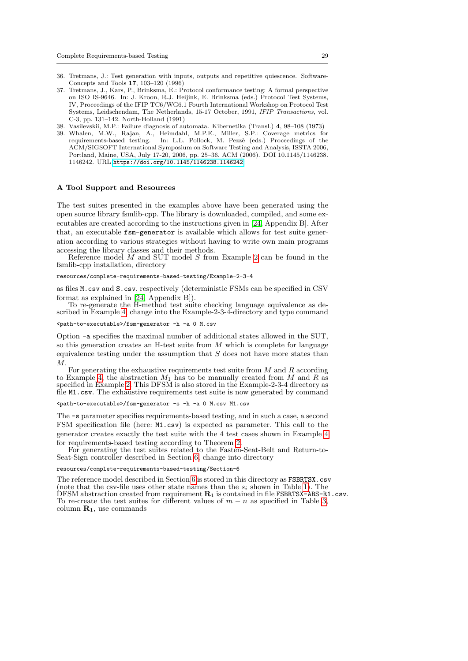- <span id="page-28-3"></span>36. Tretmans, J.: Test generation with inputs, outputs and repetitive quiescence. Software-Concepts and Tools 17, 103–120 (1996)
- <span id="page-28-4"></span>37. Tretmans, J., Kars, P., Brinksma, E.: Protocol conformance testing: A formal perspective on ISO IS-9646. In: J. Kroon, R.J. Heijink, E. Brinksma (eds.) Protocol Test Systems, IV, Proceedings of the IFIP TC6/WG6.1 Fourth International Workshop on Protocol Test Systems, Leidschendam, The Netherlands, 15-17 October, 1991, IFIP Transactions, vol. C-3, pp. 131–142. North-Holland (1991)
- <span id="page-28-2"></span>38. Vasilevskii, M.P.: Failure diagnosis of automata. Kibernetika (Transl.) 4, 98–108 (1973)
- <span id="page-28-0"></span>39. Whalen, M.W., Rajan, A., Heimdahl, M.P.E., Miller, S.P.: Coverage metrics for requirements-based testing. In: L.L. Pollock, M. Pezzè (eds.) Proceedings of the ACM/SIGSOFT International Symposium on Software Testing and Analysis, ISSTA 2006, Portland, Maine, USA, July 17-20, 2006, pp. 25–36. ACM (2006). DOI 10.1145/1146238. 1146242. URL <https://doi.org/10.1145/1146238.1146242>

# <span id="page-28-1"></span>A Tool Support and Resources

The test suites presented in the examples above have been generated using the open source library fsmlib-cpp. The library is downloaded, compiled, and some executables are created according to the instructions given in [\[24,](#page-27-5) Appendix B]. After that, an executable fsm-generator is available which allows for test suite generation according to various strategies without having to write own main programs accessing the library classes and their methods.

Reference model  $M$  and SUT model  $S$  from Example [2](#page-6-3) can be found in the fsmlib-cpp installation, directory

#### resources/complete-requirements-based-testing/Example-2-3-4

as files M.csv and S.csv, respectively (deterministic FSMs can be specified in CSV format as explained in [\[24,](#page-27-5) Appendix B]).

To re-generate the H-method test suite checking language equivalence as described in Example [4,](#page-12-2) change into the Example-2-3-4-directory and type command

#### <path-to-executable>/fsm-generator -h -a 0 M.csv

Option -a specifies the maximal number of additional states allowed in the SUT, so this generation creates an H-test suite from M which is complete for language equivalence testing under the assumption that  $S$  does not have more states than M.

For generating the exhaustive requirements test suite from  $M$  and  $R$  according to Example [4,](#page-12-2) the abstraction  $M_1$  has to be manually created from M and R as specified in Example [2.](#page-6-3) This DFSM is also stored in the Example-2-3-4 directory as file M1.csv. The exhaustive requirements test suite is now generated by command

<path-to-executable>/fsm-generator -s -h -a 0 M.csv M1.csv

The -s parameter specifies requirements-based testing, and in such a case, a second FSM specification file (here: M1.csv) is expected as parameter. This call to the generator creates exactly the test suite with the 4 test cases shown in Example [4](#page-12-2) for requirements-based testing according to Theorem [2.](#page-11-3)

For generating the test suites related to the Fasten-Seat-Belt and Return-to-Seat-Sign controller described in Section [6,](#page-12-0) change into directory

#### resources/complete-requirements-based-testing/Section-6

The reference model described in Section [6](#page-12-0) is stored in this directory as FSBRTSX.csv (note that the csv-file uses other state names than the  $s_i$  shown in Table [1\)](#page-13-0). The DFSM abstraction created from requirement  $\mathbf{R}_1$  is contained in file FSBRTSX-ABS-R1.csv. To re-create the test suites for different values of  $m - n$  as specified in Table [3,](#page-15-1) column  $\mathbf{R}_1$ , use commands